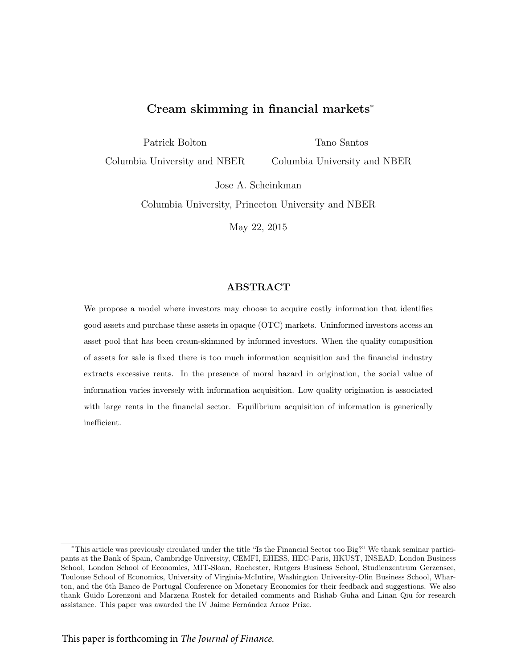# <span id="page-0-0"></span>Cream skimming in financial markets<sup>∗</sup>

Patrick Bolton

Tano Santos

Columbia University and NBER

Columbia University and NBER

Jose A. Scheinkman

Columbia University, Princeton University and NBER

May 22, 2015

## ABSTRACT

We propose a model where investors may choose to acquire costly information that identifies good assets and purchase these assets in opaque (OTC) markets. Uninformed investors access an asset pool that has been cream-skimmed by informed investors. When the quality composition of assets for sale is fixed there is too much information acquisition and the financial industry extracts excessive rents. In the presence of moral hazard in origination, the social value of information varies inversely with information acquisition. Low quality origination is associated with large rents in the financial sector. Equilibrium acquisition of information is generically inefficient.

<sup>∗</sup>This article was previously circulated under the title "Is the Financial Sector too Big?" We thank seminar participants at the Bank of Spain, Cambridge University, CEMFI, EHESS, HEC-Paris, HKUST, INSEAD, London Business School, London School of Economics, MIT-Sloan, Rochester, Rutgers Business School, Studienzentrum Gerzensee, Toulouse School of Economics, University of Virginia-McIntire, Washington University-Olin Business School, Wharton, and the 6th Banco de Portugal Conference on Monetary Economics for their feedback and suggestions. We also thank Guido Lorenzoni and Marzena Rostek for detailed comments and Rishab Guha and Linan Qiu for research assistance. This paper was awarded the IV Jaime Fernández Araoz Prize.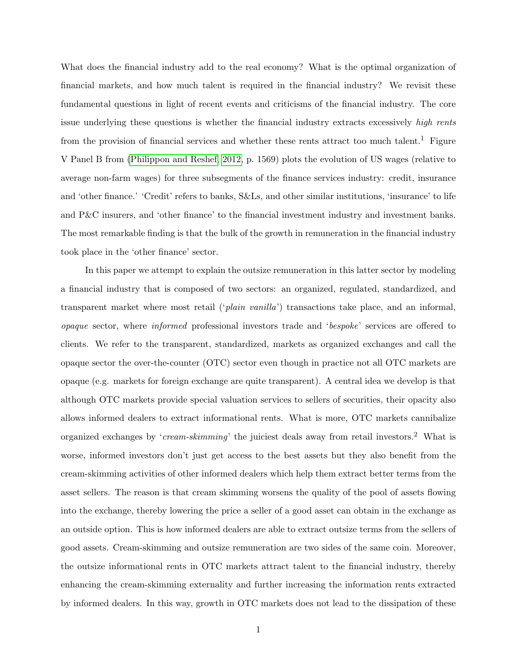What does the financial industry add to the real economy? What is the optimal organization of financial markets, and how much talent is required in the financial industry? We revisit these fundamental questions in light of recent events and criticisms of the financial industry. The core issue underlying these questions is whether the financial industry extracts excessively high rents from the provision of financial services and whether these rents attract too much talent.<sup>1</sup> Figure V Panel B from [\(Philippon and Reshef, 2012,](#page-27-0) p. 1569) plots the evolution of US wages (relative to average non-farm wages) for three subsegments of the finance services industry: credit, insurance and 'other finance.' 'Credit' refers to banks, S&Ls, and other similar institutions, 'insurance' to life and P&C insurers, and 'other finance' to the financial investment industry and investment banks. The most remarkable finding is that the bulk of the growth in remuneration in the financial industry took place in the 'other finance' sector.

In this paper we attempt to explain the outsize remuneration in this latter sector by modeling a financial industry that is composed of two sectors: an organized, regulated, standardized, and transparent market where most retail ('plain vanilla') transactions take place, and an informal, opaque sector, where informed professional investors trade and 'bespoke' services are offered to clients. We refer to the transparent, standardized, markets as organized exchanges and call the opaque sector the over-the-counter (OTC) sector even though in practice not all OTC markets are opaque (e.g. markets for foreign exchange are quite transparent). A central idea we develop is that although OTC markets provide special valuation services to sellers of securities, their opacity also allows informed dealers to extract informational rents. What is more, OTC markets cannibalize organized exchanges by 'cream-skimming' the juiciest deals away from retail investors.<sup>2</sup> What is worse, informed investors don't just get access to the best assets but they also benefit from the cream-skimming activities of other informed dealers which help them extract better terms from the asset sellers. The reason is that cream skimming worsens the quality of the pool of assets flowing into the exchange, thereby lowering the price a seller of a good asset can obtain in the exchange as an outside option. This is how informed dealers are able to extract outsize terms from the sellers of good assets. Cream-skimming and outsize remuneration are two sides of the same coin. Moreover, the outsize informational rents in OTC markets attract talent to the financial industry, thereby enhancing the cream-skimming externality and further increasing the information rents extracted by informed dealers. In this way, growth in OTC markets does not lead to the dissipation of these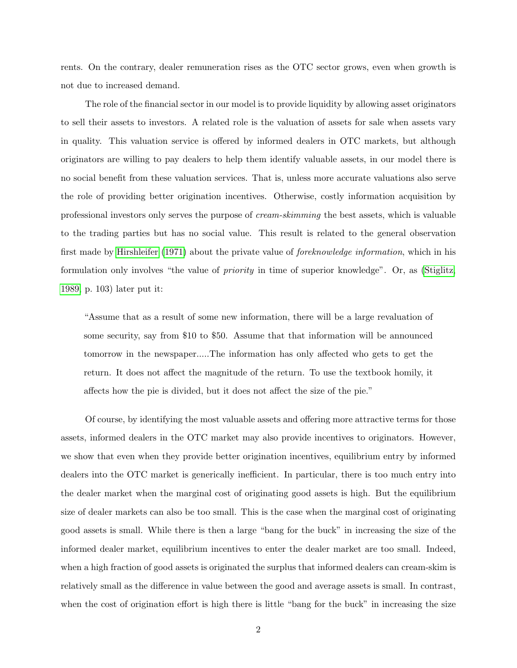rents. On the contrary, dealer remuneration rises as the OTC sector grows, even when growth is not due to increased demand.

The role of the financial sector in our model is to provide liquidity by allowing asset originators to sell their assets to investors. A related role is the valuation of assets for sale when assets vary in quality. This valuation service is offered by informed dealers in OTC markets, but although originators are willing to pay dealers to help them identify valuable assets, in our model there is no social benefit from these valuation services. That is, unless more accurate valuations also serve the role of providing better origination incentives. Otherwise, costly information acquisition by professional investors only serves the purpose of cream-skimming the best assets, which is valuable to the trading parties but has no social value. This result is related to the general observation first made by [Hirshleifer](#page-26-0) [\(1971\)](#page-26-0) about the private value of foreknowledge information, which in his formulation only involves "the value of priority in time of superior knowledge". Or, as [\(Stiglitz,](#page-28-0) [1989,](#page-28-0) p. 103) later put it:

"Assume that as a result of some new information, there will be a large revaluation of some security, say from \$10 to \$50. Assume that that information will be announced tomorrow in the newspaper.....The information has only affected who gets to get the return. It does not affect the magnitude of the return. To use the textbook homily, it affects how the pie is divided, but it does not affect the size of the pie."

Of course, by identifying the most valuable assets and offering more attractive terms for those assets, informed dealers in the OTC market may also provide incentives to originators. However, we show that even when they provide better origination incentives, equilibrium entry by informed dealers into the OTC market is generically inefficient. In particular, there is too much entry into the dealer market when the marginal cost of originating good assets is high. But the equilibrium size of dealer markets can also be too small. This is the case when the marginal cost of originating good assets is small. While there is then a large "bang for the buck" in increasing the size of the informed dealer market, equilibrium incentives to enter the dealer market are too small. Indeed, when a high fraction of good assets is originated the surplus that informed dealers can cream-skim is relatively small as the difference in value between the good and average assets is small. In contrast, when the cost of origination effort is high there is little "bang for the buck" in increasing the size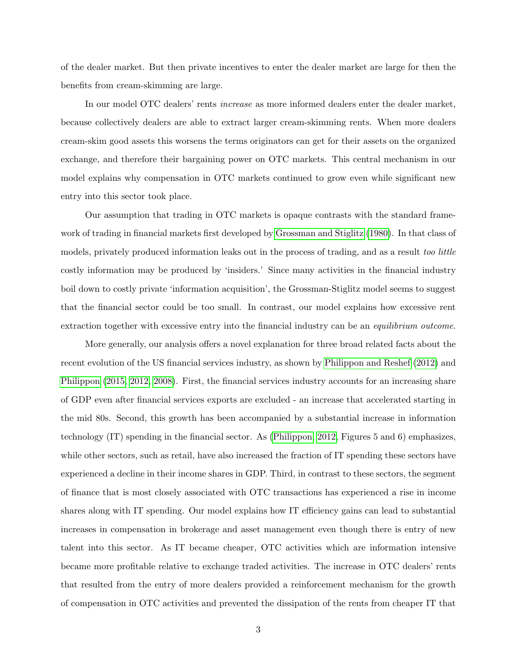of the dealer market. But then private incentives to enter the dealer market are large for then the benefits from cream-skimming are large.

In our model OTC dealers' rents *increase* as more informed dealers enter the dealer market, because collectively dealers are able to extract larger cream-skimming rents. When more dealers cream-skim good assets this worsens the terms originators can get for their assets on the organized exchange, and therefore their bargaining power on OTC markets. This central mechanism in our model explains why compensation in OTC markets continued to grow even while significant new entry into this sector took place.

Our assumption that trading in OTC markets is opaque contrasts with the standard framework of trading in financial markets first developed by [Grossman and Stiglitz](#page-26-1) [\(1980\)](#page-26-1). In that class of models, privately produced information leaks out in the process of trading, and as a result too little costly information may be produced by 'insiders.' Since many activities in the financial industry boil down to costly private 'information acquisition', the Grossman-Stiglitz model seems to suggest that the financial sector could be too small. In contrast, our model explains how excessive rent extraction together with excessive entry into the financial industry can be an *equilibrium outcome*.

More generally, our analysis offers a novel explanation for three broad related facts about the recent evolution of the US financial services industry, as shown by [Philippon and Reshef](#page-27-0) [\(2012\)](#page-27-0) and [Philippon](#page-27-1) [\(2015,](#page-27-1) [2012,](#page-27-2) [2008\)](#page-27-3). First, the financial services industry accounts for an increasing share of GDP even after financial services exports are excluded - an increase that accelerated starting in the mid 80s. Second, this growth has been accompanied by a substantial increase in information technology (IT) spending in the financial sector. As [\(Philippon, 2012,](#page-27-2) Figures 5 and 6) emphasizes, while other sectors, such as retail, have also increased the fraction of IT spending these sectors have experienced a decline in their income shares in GDP. Third, in contrast to these sectors, the segment of finance that is most closely associated with OTC transactions has experienced a rise in income shares along with IT spending. Our model explains how IT efficiency gains can lead to substantial increases in compensation in brokerage and asset management even though there is entry of new talent into this sector. As IT became cheaper, OTC activities which are information intensive became more profitable relative to exchange traded activities. The increase in OTC dealers' rents that resulted from the entry of more dealers provided a reinforcement mechanism for the growth of compensation in OTC activities and prevented the dissipation of the rents from cheaper IT that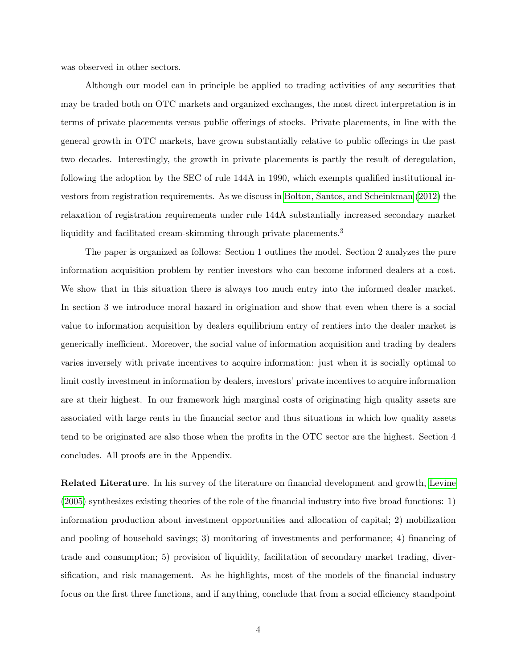was observed in other sectors.

Although our model can in principle be applied to trading activities of any securities that may be traded both on OTC markets and organized exchanges, the most direct interpretation is in terms of private placements versus public offerings of stocks. Private placements, in line with the general growth in OTC markets, have grown substantially relative to public offerings in the past two decades. Interestingly, the growth in private placements is partly the result of deregulation, following the adoption by the SEC of rule 144A in 1990, which exempts qualified institutional investors from registration requirements. As we discuss in [Bolton, Santos, and Scheinkman](#page-25-0) [\(2012\)](#page-25-0) the relaxation of registration requirements under rule 144A substantially increased secondary market liquidity and facilitated cream-skimming through private placements.<sup>3</sup>

The paper is organized as follows: Section 1 outlines the model. Section 2 analyzes the pure information acquisition problem by rentier investors who can become informed dealers at a cost. We show that in this situation there is always too much entry into the informed dealer market. In section 3 we introduce moral hazard in origination and show that even when there is a social value to information acquisition by dealers equilibrium entry of rentiers into the dealer market is generically inefficient. Moreover, the social value of information acquisition and trading by dealers varies inversely with private incentives to acquire information: just when it is socially optimal to limit costly investment in information by dealers, investors' private incentives to acquire information are at their highest. In our framework high marginal costs of originating high quality assets are associated with large rents in the financial sector and thus situations in which low quality assets tend to be originated are also those when the profits in the OTC sector are the highest. Section 4 concludes. All proofs are in the Appendix.

Related Literature. In his survey of the literature on financial development and growth, [Levine](#page-26-2) [\(2005\)](#page-26-2) synthesizes existing theories of the role of the financial industry into five broad functions: 1) information production about investment opportunities and allocation of capital; 2) mobilization and pooling of household savings; 3) monitoring of investments and performance; 4) financing of trade and consumption; 5) provision of liquidity, facilitation of secondary market trading, diversification, and risk management. As he highlights, most of the models of the financial industry focus on the first three functions, and if anything, conclude that from a social efficiency standpoint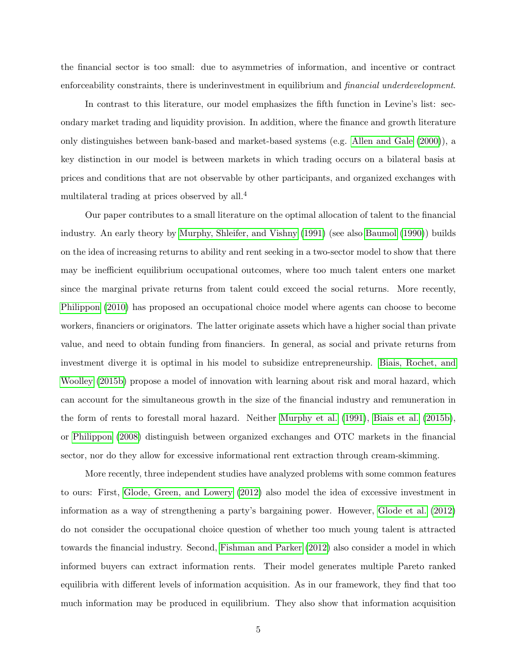the financial sector is too small: due to asymmetries of information, and incentive or contract enforceability constraints, there is underinvestment in equilibrium and financial underdevelopment.

In contrast to this literature, our model emphasizes the fifth function in Levine's list: secondary market trading and liquidity provision. In addition, where the finance and growth literature only distinguishes between bank-based and market-based systems (e.g. [Allen and Gale](#page-25-1) [\(2000\)](#page-25-1)), a key distinction in our model is between markets in which trading occurs on a bilateral basis at prices and conditions that are not observable by other participants, and organized exchanges with multilateral trading at prices observed by all.<sup>4</sup>

Our paper contributes to a small literature on the optimal allocation of talent to the financial industry. An early theory by [Murphy, Shleifer, and Vishny](#page-27-4) [\(1991\)](#page-27-4) (see also [Baumol](#page-25-2) [\(1990\)](#page-25-2)) builds on the idea of increasing returns to ability and rent seeking in a two-sector model to show that there may be inefficient equilibrium occupational outcomes, where too much talent enters one market since the marginal private returns from talent could exceed the social returns. More recently, [Philippon](#page-27-5) [\(2010\)](#page-27-5) has proposed an occupational choice model where agents can choose to become workers, financiers or originators. The latter originate assets which have a higher social than private value, and need to obtain funding from financiers. In general, as social and private returns from investment diverge it is optimal in his model to subsidize entrepreneurship. [Biais, Rochet, and](#page-25-3) [Woolley](#page-25-3) [\(2015b\)](#page-25-3) propose a model of innovation with learning about risk and moral hazard, which can account for the simultaneous growth in the size of the financial industry and remuneration in the form of rents to forestall moral hazard. Neither [Murphy et al.](#page-27-4) [\(1991\)](#page-27-4), [Biais et al.](#page-25-3) [\(2015b\)](#page-25-3), or [Philippon](#page-27-3) [\(2008\)](#page-27-3) distinguish between organized exchanges and OTC markets in the financial sector, nor do they allow for excessive informational rent extraction through cream-skimming.

More recently, three independent studies have analyzed problems with some common features to ours: First, [Glode, Green, and Lowery](#page-26-3) [\(2012\)](#page-26-3) also model the idea of excessive investment in information as a way of strengthening a party's bargaining power. However, [Glode et al.](#page-26-3) [\(2012\)](#page-26-3) do not consider the occupational choice question of whether too much young talent is attracted towards the financial industry. Second, [Fishman and Parker](#page-26-4) [\(2012\)](#page-26-4) also consider a model in which informed buyers can extract information rents. Their model generates multiple Pareto ranked equilibria with different levels of information acquisition. As in our framework, they find that too much information may be produced in equilibrium. They also show that information acquisition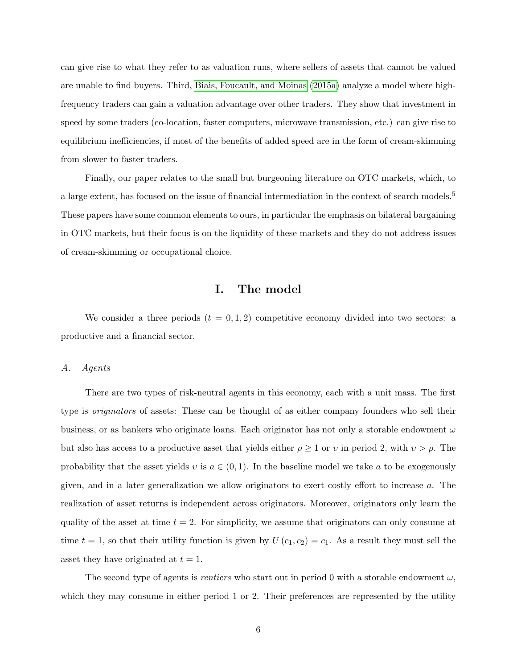can give rise to what they refer to as valuation runs, where sellers of assets that cannot be valued are unable to find buyers. Third, [Biais, Foucault, and Moinas](#page-25-4) [\(2015a\)](#page-25-4) analyze a model where highfrequency traders can gain a valuation advantage over other traders. They show that investment in speed by some traders (co-location, faster computers, microwave transmission, etc.) can give rise to equilibrium inefficiencies, if most of the benefits of added speed are in the form of cream-skimming from slower to faster traders.

Finally, our paper relates to the small but burgeoning literature on OTC markets, which, to a large extent, has focused on the issue of financial intermediation in the context of search models.<sup>5</sup> These papers have some common elements to ours, in particular the emphasis on bilateral bargaining in OTC markets, but their focus is on the liquidity of these markets and they do not address issues of cream-skimming or occupational choice.

## I. The model

We consider a three periods  $(t = 0, 1, 2)$  competitive economy divided into two sectors: a productive and a financial sector.

#### <span id="page-6-0"></span>A. Agents

There are two types of risk-neutral agents in this economy, each with a unit mass. The first type is originators of assets: These can be thought of as either company founders who sell their business, or as bankers who originate loans. Each originator has not only a storable endowment  $\omega$ but also has access to a productive asset that yields either  $\rho \ge 1$  or v in period 2, with  $v > \rho$ . The probability that the asset yields v is  $a \in (0,1)$ . In the baseline model we take a to be exogenously given, and in a later generalization we allow originators to exert costly effort to increase a. The realization of asset returns is independent across originators. Moreover, originators only learn the quality of the asset at time  $t = 2$ . For simplicity, we assume that originators can only consume at time  $t = 1$ , so that their utility function is given by  $U(c_1, c_2) = c_1$ . As a result they must sell the asset they have originated at  $t = 1$ .

The second type of agents is *rentiers* who start out in period 0 with a storable endowment  $\omega$ , which they may consume in either period 1 or 2. Their preferences are represented by the utility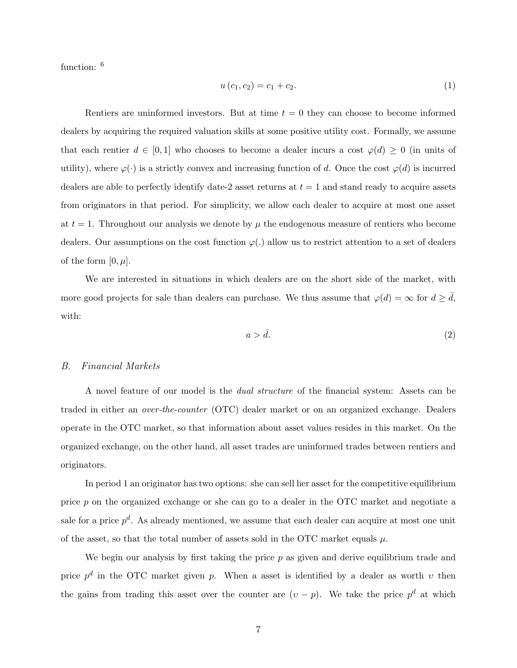function:  $6$ 

$$
u(c_1, c_2) = c_1 + c_2. \tag{1}
$$

Rentiers are uninformed investors. But at time  $t = 0$  they can choose to become informed dealers by acquiring the required valuation skills at some positive utility cost. Formally, we assume that each rentier  $d \in [0,1]$  who chooses to become a dealer incurs a cost  $\varphi(d) \geq 0$  (in units of utility), where  $\varphi(\cdot)$  is a strictly convex and increasing function of d. Once the cost  $\varphi(d)$  is incurred dealers are able to perfectly identify date-2 asset returns at  $t = 1$  and stand ready to acquire assets from originators in that period. For simplicity, we allow each dealer to acquire at most one asset at  $t = 1$ . Throughout our analysis we denote by  $\mu$  the endogenous measure of rentiers who become dealers. Our assumptions on the cost function  $\varphi(.)$  allow us to restrict attention to a set of dealers of the form  $[0, \mu]$ .

We are interested in situations in which dealers are on the short side of the market, with more good projects for sale than dealers can purchase. We thus assume that  $\varphi(d) = \infty$  for  $d \ge d$ , with:

<span id="page-7-0"></span>
$$
a > \bar{d}.\tag{2}
$$

#### B. Financial Markets

A novel feature of our model is the dual structure of the financial system: Assets can be traded in either an over-the-counter (OTC) dealer market or on an organized exchange. Dealers operate in the OTC market, so that information about asset values resides in this market. On the organized exchange, on the other hand, all asset trades are uninformed trades between rentiers and originators.

In period 1 an originator has two options: she can sell her asset for the competitive equilibrium price p on the organized exchange or she can go to a dealer in the OTC market and negotiate a sale for a price  $p^d$ . As already mentioned, we assume that each dealer can acquire at most one unit of the asset, so that the total number of assets sold in the OTC market equals  $\mu$ .

We begin our analysis by first taking the price  $p$  as given and derive equilibrium trade and price  $p^d$  in the OTC market given p. When a asset is identified by a dealer as worth v then the gains from trading this asset over the counter are  $(v - p)$ . We take the price  $p^d$  at which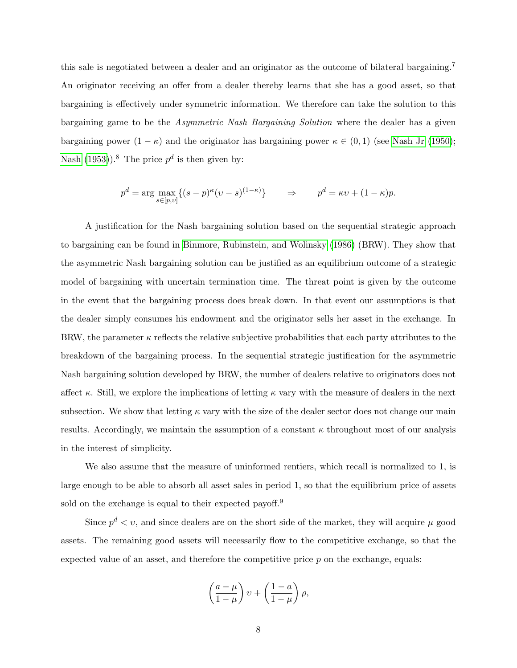this sale is negotiated between a dealer and an originator as the outcome of bilateral bargaining.<sup>7</sup> An originator receiving an offer from a dealer thereby learns that she has a good asset, so that bargaining is effectively under symmetric information. We therefore can take the solution to this bargaining game to be the Asymmetric Nash Bargaining Solution where the dealer has a given bargaining power  $(1 - \kappa)$  and the originator has bargaining power  $\kappa \in (0, 1)$  (see [Nash Jr](#page-27-6) [\(1950\)](#page-27-6); [Nash](#page-27-7) [\(1953\)](#page-27-7)).<sup>8</sup> The price  $p^d$  is then given by:

$$
p^d = \arg \max_{s \in [p,v]} \{ (s-p)^{\kappa} (v-s)^{(1-\kappa)} \} \qquad \Rightarrow \qquad p^d = \kappa v + (1-\kappa)p.
$$

A justification for the Nash bargaining solution based on the sequential strategic approach to bargaining can be found in [Binmore, Rubinstein, and Wolinsky](#page-25-5) [\(1986\)](#page-25-5) (BRW). They show that the asymmetric Nash bargaining solution can be justified as an equilibrium outcome of a strategic model of bargaining with uncertain termination time. The threat point is given by the outcome in the event that the bargaining process does break down. In that event our assumptions is that the dealer simply consumes his endowment and the originator sells her asset in the exchange. In BRW, the parameter  $\kappa$  reflects the relative subjective probabilities that each party attributes to the breakdown of the bargaining process. In the sequential strategic justification for the asymmetric Nash bargaining solution developed by BRW, the number of dealers relative to originators does not affect  $\kappa$ . Still, we explore the implications of letting  $\kappa$  vary with the measure of dealers in the next subsection. We show that letting  $\kappa$  vary with the size of the dealer sector does not change our main results. Accordingly, we maintain the assumption of a constant  $\kappa$  throughout most of our analysis in the interest of simplicity.

We also assume that the measure of uninformed rentiers, which recall is normalized to 1, is large enough to be able to absorb all asset sales in period 1, so that the equilibrium price of assets sold on the exchange is equal to their expected payoff.<sup>9</sup>

Since  $p^d < v$ , and since dealers are on the short side of the market, they will acquire  $\mu$  good assets. The remaining good assets will necessarily flow to the competitive exchange, so that the expected value of an asset, and therefore the competitive price  $p$  on the exchange, equals:

$$
\left(\frac{a-\mu}{1-\mu}\right)\upsilon+\left(\frac{1-a}{1-\mu}\right)\rho,
$$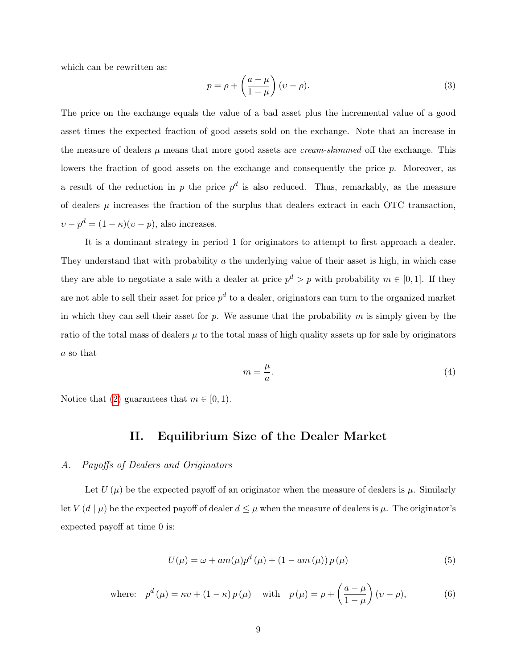which can be rewritten as:

<span id="page-9-1"></span>
$$
p = \rho + \left(\frac{a - \mu}{1 - \mu}\right)(\nu - \rho).
$$
\n(3)

The price on the exchange equals the value of a bad asset plus the incremental value of a good asset times the expected fraction of good assets sold on the exchange. Note that an increase in the measure of dealers  $\mu$  means that more good assets are *cream-skimmed* off the exchange. This lowers the fraction of good assets on the exchange and consequently the price p. Moreover, as a result of the reduction in p the price  $p^d$  is also reduced. Thus, remarkably, as the measure of dealers  $\mu$  increases the fraction of the surplus that dealers extract in each OTC transaction,  $v - p^d = (1 - \kappa)(v - p)$ , also increases.

It is a dominant strategy in period 1 for originators to attempt to first approach a dealer. They understand that with probability  $a$  the underlying value of their asset is high, in which case they are able to negotiate a sale with a dealer at price  $p^d > p$  with probability  $m \in [0,1]$ . If they are not able to sell their asset for price  $p^d$  to a dealer, originators can turn to the organized market in which they can sell their asset for p. We assume that the probability  $m$  is simply given by the ratio of the total mass of dealers  $\mu$  to the total mass of high quality assets up for sale by originators a so that

<span id="page-9-2"></span>
$$
m = \frac{\mu}{a}.\tag{4}
$$

Notice that [\(2\)](#page-7-0) guarantees that  $m \in [0, 1)$ .

## II. Equilibrium Size of the Dealer Market

#### A. Payoffs of Dealers and Originators

Let  $U(\mu)$  be the expected payoff of an originator when the measure of dealers is  $\mu$ . Similarly let V  $(d | \mu)$  be the expected payoff of dealer  $d \leq \mu$  when the measure of dealers is  $\mu$ . The originator's expected payoff at time 0 is:

<span id="page-9-0"></span>
$$
U(\mu) = \omega + am(\mu)p^{d}(\mu) + (1 - am(\mu))p(\mu)
$$
\n(5)

where: 
$$
p^d(\mu) = \kappa v + (1 - \kappa) p(\mu)
$$
 with  $p(\mu) = \rho + \left(\frac{a - \mu}{1 - \mu}\right)(v - \rho),$  (6)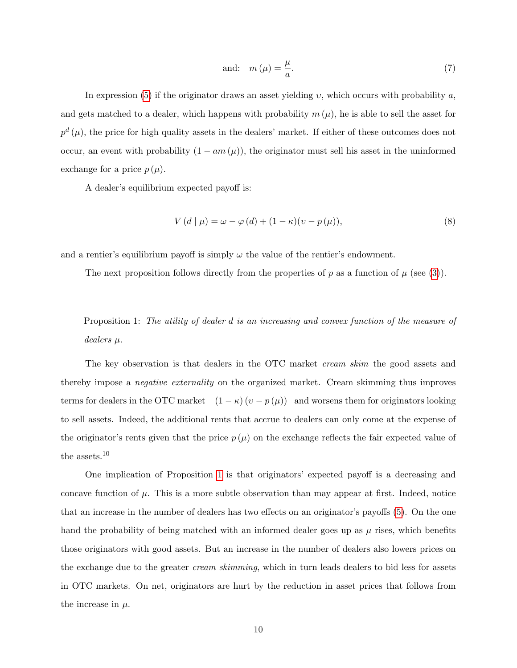and: 
$$
m(\mu) = \frac{\mu}{a}
$$
. (7)

In expression [\(5\)](#page-9-0) if the originator draws an asset yielding  $v$ , which occurs with probability a, and gets matched to a dealer, which happens with probability  $m(\mu)$ , he is able to sell the asset for  $p^d(\mu)$ , the price for high quality assets in the dealers' market. If either of these outcomes does not occur, an event with probability  $(1 - am(\mu))$ , the originator must sell his asset in the uninformed exchange for a price  $p(\mu)$ .

A dealer's equilibrium expected payoff is:

$$
V(d \mid \mu) = \omega - \varphi(d) + (1 - \kappa)(v - p(\mu)),\tag{8}
$$

and a rentier's equilibrium payoff is simply  $\omega$  the value of the rentier's endowment.

The next proposition follows directly from the properties of p as a function of  $\mu$  (see [\(3\)](#page-9-1)).

# <span id="page-10-0"></span>Proposition 1: The utility of dealer d is an increasing and convex function of the measure of dealers µ.

The key observation is that dealers in the OTC market cream skim the good assets and thereby impose a negative externality on the organized market. Cream skimming thus improves terms for dealers in the OTC market –  $(1 - \kappa) (v - p(\mu))$ – and worsens them for originators looking to sell assets. Indeed, the additional rents that accrue to dealers can only come at the expense of the originator's rents given that the price  $p(\mu)$  on the exchange reflects the fair expected value of the assets.<sup>10</sup>

One implication of Proposition [1](#page-10-0) is that originators' expected payoff is a decreasing and concave function of  $\mu$ . This is a more subtle observation than may appear at first. Indeed, notice that an increase in the number of dealers has two effects on an originator's payoffs [\(5\)](#page-9-0). On the one hand the probability of being matched with an informed dealer goes up as  $\mu$  rises, which benefits those originators with good assets. But an increase in the number of dealers also lowers prices on the exchange due to the greater *cream skimming*, which in turn leads dealers to bid less for assets in OTC markets. On net, originators are hurt by the reduction in asset prices that follows from the increase in  $\mu$ .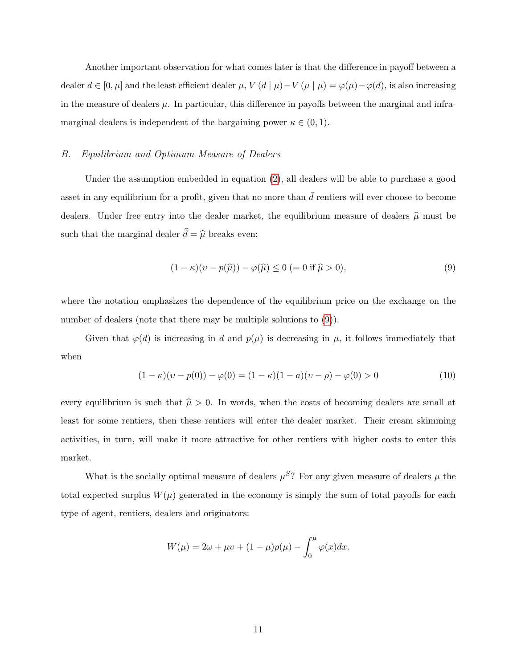Another important observation for what comes later is that the difference in payoff between a dealer  $d \in [0, \mu]$  and the least efficient dealer  $\mu$ ,  $V(d \mid \mu) - V(\mu \mid \mu) = \varphi(\mu) - \varphi(d)$ , is also increasing in the measure of dealers  $\mu$ . In particular, this difference in payoffs between the marginal and inframarginal dealers is independent of the bargaining power  $\kappa \in (0,1)$ .

### B. Equilibrium and Optimum Measure of Dealers

Under the assumption embedded in equation [\(2\)](#page-7-0), all dealers will be able to purchase a good asset in any equilibrium for a profit, given that no more than  $\bar{d}$  rentiers will ever choose to become dealers. Under free entry into the dealer market, the equilibrium measure of dealers  $\hat{\mu}$  must be such that the marginal dealer  $\hat{d} = \hat{\mu}$  breaks even:

<span id="page-11-0"></span>
$$
(1 - \kappa)(\nu - p(\widehat{\mu})) - \varphi(\widehat{\mu}) \le 0 \ (= 0 \text{ if } \widehat{\mu} > 0),\tag{9}
$$

where the notation emphasizes the dependence of the equilibrium price on the exchange on the number of dealers (note that there may be multiple solutions to  $(9)$ ).

Given that  $\varphi(d)$  is increasing in d and  $p(\mu)$  is decreasing in  $\mu$ , it follows immediately that when

<span id="page-11-1"></span>
$$
(1 - \kappa)(v - p(0)) - \varphi(0) = (1 - \kappa)(1 - a)(v - \rho) - \varphi(0) > 0 \tag{10}
$$

every equilibrium is such that  $\hat{\mu} > 0$ . In words, when the costs of becoming dealers are small at least for some rentiers, then these rentiers will enter the dealer market. Their cream skimming activities, in turn, will make it more attractive for other rentiers with higher costs to enter this market.

What is the socially optimal measure of dealers  $\mu^{S}$ ? For any given measure of dealers  $\mu$  the total expected surplus  $W(\mu)$  generated in the economy is simply the sum of total payoffs for each type of agent, rentiers, dealers and originators:

$$
W(\mu) = 2\omega + \mu v + (1 - \mu)p(\mu) - \int_0^{\mu} \varphi(x) dx.
$$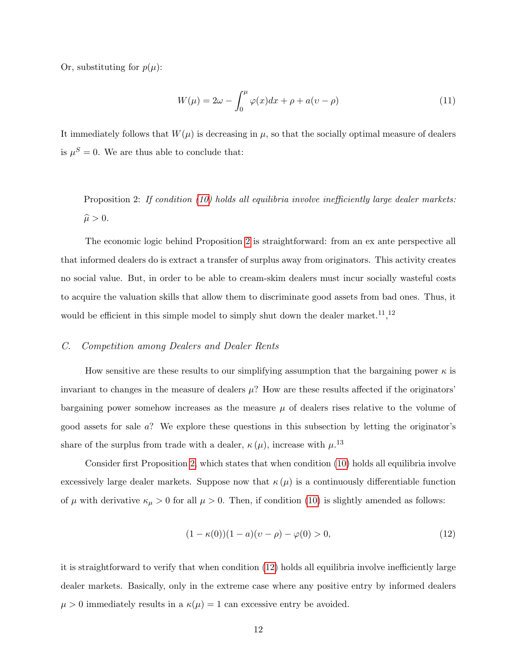Or, substituting for  $p(\mu)$ :

$$
W(\mu) = 2\omega - \int_0^{\mu} \varphi(x)dx + \rho + a(\nu - \rho)
$$
\n(11)

It immediately follows that  $W(\mu)$  is decreasing in  $\mu$ , so that the socially optimal measure of dealers is  $\mu^S = 0$ . We are thus able to conclude that:

<span id="page-12-0"></span>Proposition 2: If condition [\(10\)](#page-11-1) holds all equilibria involve inefficiently large dealer markets:  $\widehat{\mu} > 0$ .

The economic logic behind Proposition [2](#page-12-0) is straightforward: from an ex ante perspective all that informed dealers do is extract a transfer of surplus away from originators. This activity creates no social value. But, in order to be able to cream-skim dealers must incur socially wasteful costs to acquire the valuation skills that allow them to discriminate good assets from bad ones. Thus, it would be efficient in this simple model to simply shut down the dealer market.<sup>11</sup>,<sup>12</sup>

#### C. Competition among Dealers and Dealer Rents

How sensitive are these results to our simplifying assumption that the bargaining power  $\kappa$  is invariant to changes in the measure of dealers  $\mu$ ? How are these results affected if the originators' bargaining power somehow increases as the measure  $\mu$  of dealers rises relative to the volume of good assets for sale a? We explore these questions in this subsection by letting the originator's share of the surplus from trade with a dealer,  $\kappa(\mu)$ , increase with  $\mu$ <sup>13</sup>

Consider first Proposition [2,](#page-12-0) which states that when condition [\(10\)](#page-11-1) holds all equilibria involve excessively large dealer markets. Suppose now that  $\kappa(\mu)$  is a continuously differentiable function of  $\mu$  with derivative  $\kappa_{\mu} > 0$  for all  $\mu > 0$ . Then, if condition [\(10\)](#page-11-1) is slightly amended as follows:

<span id="page-12-1"></span>
$$
(1 - \kappa(0))(1 - a)(v - \rho) - \varphi(0) > 0,\tag{12}
$$

it is straightforward to verify that when condition [\(12\)](#page-12-1) holds all equilibria involve inefficiently large dealer markets. Basically, only in the extreme case where any positive entry by informed dealers  $\mu > 0$  immediately results in a  $\kappa(\mu) = 1$  can excessive entry be avoided.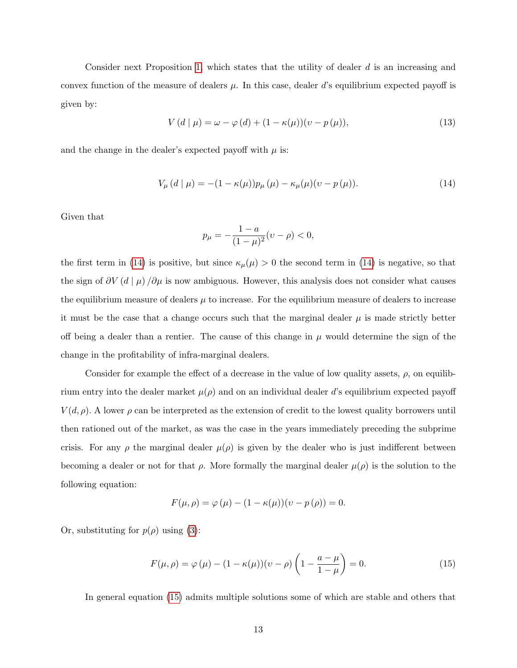Consider next Proposition [1,](#page-10-0) which states that the utility of dealer d is an increasing and convex function of the measure of dealers  $\mu$ . In this case, dealer d's equilibrium expected payoff is given by:

$$
V(d \mid \mu) = \omega - \varphi(d) + (1 - \kappa(\mu))(v - p(\mu)),\tag{13}
$$

and the change in the dealer's expected payoff with  $\mu$  is:

<span id="page-13-0"></span>
$$
V_{\mu}(d \mid \mu) = -(1 - \kappa(\mu))p_{\mu}(\mu) - \kappa_{\mu}(\mu)(\nu - p(\mu)).
$$
\n(14)

Given that

$$
p_{\mu} = -\frac{1-a}{(1-\mu)^2}(v-\rho) < 0,
$$

the first term in [\(14\)](#page-13-0) is positive, but since  $\kappa_{\mu}(\mu) > 0$  the second term in (14) is negative, so that the sign of  $\partial V(d \mid \mu) / \partial \mu$  is now ambiguous. However, this analysis does not consider what causes the equilibrium measure of dealers  $\mu$  to increase. For the equilibrium measure of dealers to increase it must be the case that a change occurs such that the marginal dealer  $\mu$  is made strictly better off being a dealer than a rentier. The cause of this change in  $\mu$  would determine the sign of the change in the profitability of infra-marginal dealers.

Consider for example the effect of a decrease in the value of low quality assets,  $\rho$ , on equilibrium entry into the dealer market  $\mu(\rho)$  and on an individual dealer d's equilibrium expected payoff  $V(d, \rho)$ . A lower  $\rho$  can be interpreted as the extension of credit to the lowest quality borrowers until then rationed out of the market, as was the case in the years immediately preceding the subprime crisis. For any  $\rho$  the marginal dealer  $\mu(\rho)$  is given by the dealer who is just indifferent between becoming a dealer or not for that  $\rho$ . More formally the marginal dealer  $\mu(\rho)$  is the solution to the following equation:

$$
F(\mu, \rho) = \varphi(\mu) - (1 - \kappa(\mu))(v - p(\rho)) = 0.
$$

Or, substituting for  $p(\rho)$  using [\(3\)](#page-9-1):

<span id="page-13-1"></span>
$$
F(\mu,\rho) = \varphi(\mu) - (1 - \kappa(\mu))(v - \rho) \left(1 - \frac{a - \mu}{1 - \mu}\right) = 0.
$$
\n(15)

In general equation [\(15\)](#page-13-1) admits multiple solutions some of which are stable and others that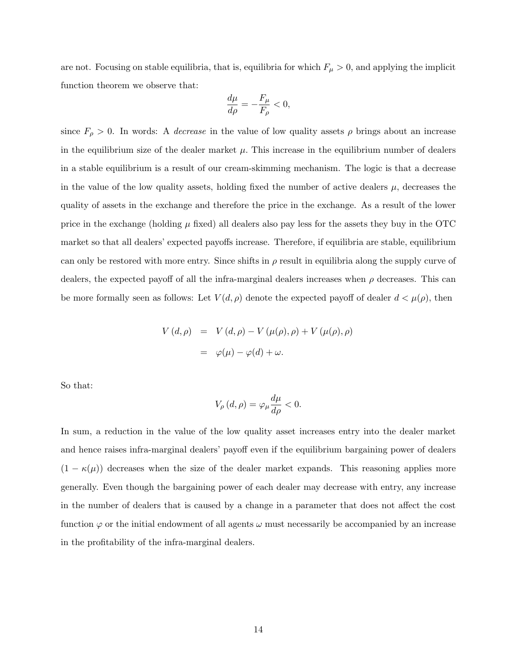are not. Focusing on stable equilibria, that is, equilibria for which  $F_{\mu} > 0$ , and applying the implicit function theorem we observe that:

$$
\frac{d\mu}{d\rho} = -\frac{F_{\mu}}{F_{\rho}} < 0,
$$

since  $F_{\rho} > 0$ . In words: A *decrease* in the value of low quality assets  $\rho$  brings about an increase in the equilibrium size of the dealer market  $\mu$ . This increase in the equilibrium number of dealers in a stable equilibrium is a result of our cream-skimming mechanism. The logic is that a decrease in the value of the low quality assets, holding fixed the number of active dealers  $\mu$ , decreases the quality of assets in the exchange and therefore the price in the exchange. As a result of the lower price in the exchange (holding  $\mu$  fixed) all dealers also pay less for the assets they buy in the OTC market so that all dealers' expected payoffs increase. Therefore, if equilibria are stable, equilibrium can only be restored with more entry. Since shifts in  $\rho$  result in equilibria along the supply curve of dealers, the expected payoff of all the infra-marginal dealers increases when  $\rho$  decreases. This can be more formally seen as follows: Let  $V(d, \rho)$  denote the expected payoff of dealer  $d < \mu(\rho)$ , then

$$
V(d, \rho) = V(d, \rho) - V(\mu(\rho), \rho) + V(\mu(\rho), \rho)
$$
  
=  $\varphi(\mu) - \varphi(d) + \omega$ .

So that:

$$
V_{\rho} (d, \rho) = \varphi_{\mu} \frac{d\mu}{d\rho} < 0.
$$

In sum, a reduction in the value of the low quality asset increases entry into the dealer market and hence raises infra-marginal dealers' payoff even if the equilibrium bargaining power of dealers  $(1 - \kappa(\mu))$  decreases when the size of the dealer market expands. This reasoning applies more generally. Even though the bargaining power of each dealer may decrease with entry, any increase in the number of dealers that is caused by a change in a parameter that does not affect the cost function  $\varphi$  or the initial endowment of all agents  $\omega$  must necessarily be accompanied by an increase in the profitability of the infra-marginal dealers.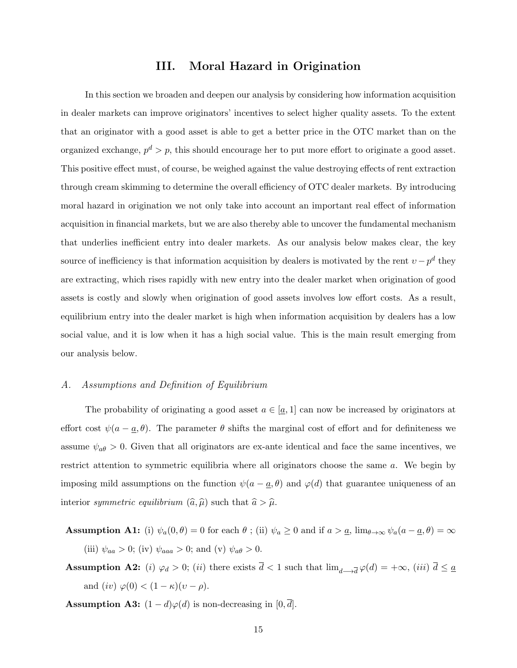# III. Moral Hazard in Origination

In this section we broaden and deepen our analysis by considering how information acquisition in dealer markets can improve originators' incentives to select higher quality assets. To the extent that an originator with a good asset is able to get a better price in the OTC market than on the organized exchange,  $p^d > p$ , this should encourage her to put more effort to originate a good asset. This positive effect must, of course, be weighed against the value destroying effects of rent extraction through cream skimming to determine the overall efficiency of OTC dealer markets. By introducing moral hazard in origination we not only take into account an important real effect of information acquisition in financial markets, but we are also thereby able to uncover the fundamental mechanism that underlies inefficient entry into dealer markets. As our analysis below makes clear, the key source of inefficiency is that information acquisition by dealers is motivated by the rent  $v - p<sup>d</sup>$  they are extracting, which rises rapidly with new entry into the dealer market when origination of good assets is costly and slowly when origination of good assets involves low effort costs. As a result, equilibrium entry into the dealer market is high when information acquisition by dealers has a low social value, and it is low when it has a high social value. This is the main result emerging from our analysis below.

#### A. Assumptions and Definition of Equilibrium

The probability of originating a good asset  $a \in [a, 1]$  can now be increased by originators at effort cost  $\psi(a-\underline{a},\theta)$ . The parameter  $\theta$  shifts the marginal cost of effort and for definiteness we assume  $\psi_{a\theta} > 0$ . Given that all originators are ex-ante identical and face the same incentives, we restrict attention to symmetric equilibria where all originators choose the same a. We begin by imposing mild assumptions on the function  $\psi(a - \underline{a}, \theta)$  and  $\varphi(d)$  that guarantee uniqueness of an interior symmetric equilibrium  $(\widehat{a}, \widehat{\mu})$  such that  $\widehat{a} > \widehat{\mu}$ .

**Assumption A1:** (i)  $\psi_a(0, \theta) = 0$  for each  $\theta$ ; (ii)  $\psi_a \ge 0$  and if  $a > \underline{a}$ ,  $\lim_{\theta \to \infty} \psi_a(a - \underline{a}, \theta) = \infty$ (iii)  $\psi_{aa} > 0$ ; (iv)  $\psi_{aaa} > 0$ ; and (v)  $\psi_{a\theta} > 0$ .

Assumption A2: (i)  $\varphi_d > 0$ ; (ii) there exists  $\overline{d} < 1$  such that  $\lim_{d\to\overline{d}} \varphi(d) = +\infty$ , (iii)  $\overline{d} \leq \underline{a}$ and  $(iv) \varphi(0) < (1 - \kappa)(v - \rho)$ .

**Assumption A3:**  $(1-d)\varphi(d)$  is non-decreasing in [0, d].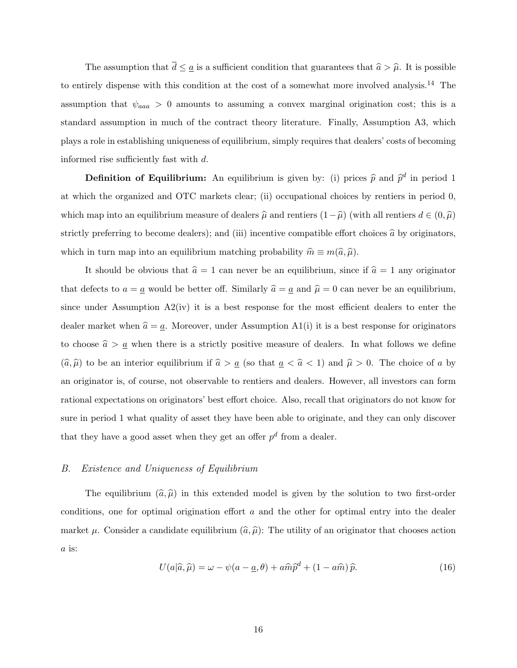The assumption that  $\bar{d} \leq \underline{a}$  is a sufficient condition that guarantees that  $\hat{a} > \hat{\mu}$ . It is possible to entirely dispense with this condition at the cost of a somewhat more involved analysis.<sup>14</sup> The assumption that  $\psi_{aaa} > 0$  amounts to assuming a convex marginal origination cost; this is a standard assumption in much of the contract theory literature. Finally, Assumption A3, which plays a role in establishing uniqueness of equilibrium, simply requires that dealers' costs of becoming informed rise sufficiently fast with d.

**Definition of Equilibrium:** An equilibrium is given by: (i) prices  $\hat{p}$  and  $\hat{p}^d$  in period 1 at which the organized and OTC markets clear; (ii) occupational choices by rentiers in period 0, which map into an equilibrium measure of dealers  $\hat{\mu}$  and rentiers  $(1-\hat{\mu})$  (with all rentiers  $d \in (0, \hat{\mu})$ ) strictly preferring to become dealers); and (iii) incentive compatible effort choices  $\hat{a}$  by originators, which in turn map into an equilibrium matching probability  $\hat{m} \equiv m(\hat{a}, \hat{\mu})$ .

It should be obvious that  $\hat{a} = 1$  can never be an equilibrium, since if  $\hat{a} = 1$  any originator that defects to  $a = \underline{a}$  would be better off. Similarly  $\hat{a} = \underline{a}$  and  $\hat{\mu} = 0$  can never be an equilibrium, since under Assumption  $A2(iv)$  it is a best response for the most efficient dealers to enter the dealer market when  $\hat{a} = \underline{a}$ . Moreover, under Assumption A1(i) it is a best response for originators to choose  $\hat{a} > \underline{a}$  when there is a strictly positive measure of dealers. In what follows we define  $(\widehat{a}, \widehat{\mu})$  to be an interior equilibrium if  $\widehat{a} > \underline{a}$  (so that  $\underline{a} < \widehat{a} < 1$ ) and  $\widehat{\mu} > 0$ . The choice of a by an originator is, of course, not observable to rentiers and dealers. However, all investors can form rational expectations on originators' best effort choice. Also, recall that originators do not know for sure in period 1 what quality of asset they have been able to originate, and they can only discover that they have a good asset when they get an offer  $p^d$  from a dealer.

### B. Existence and Uniqueness of Equilibrium

The equilibrium  $(\widehat{a}, \widehat{\mu})$  in this extended model is given by the solution to two first-order conditions, one for optimal origination effort a and the other for optimal entry into the dealer market  $\mu$ . Consider a candidate equilibrium  $(\widehat{a}, \widehat{\mu})$ : The utility of an originator that chooses action a is:

$$
U(a|\hat{a}, \hat{\mu}) = \omega - \psi(a - \underline{a}, \theta) + a\hat{m}\hat{p}^{d} + (1 - a\hat{m})\hat{p}.
$$
 (16)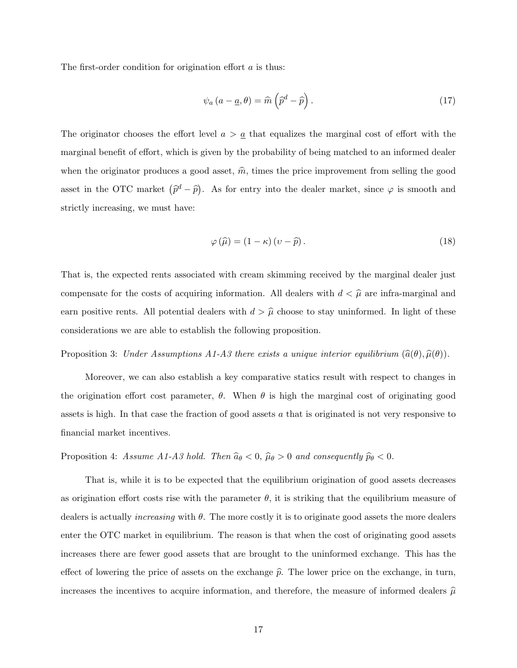The first-order condition for origination effort a is thus:

$$
\psi_a\left(a-\underline{a},\theta\right) = \widehat{m}\left(\widehat{p}^d - \widehat{p}\right). \tag{17}
$$

The originator chooses the effort level  $a > a$  that equalizes the marginal cost of effort with the marginal benefit of effort, which is given by the probability of being matched to an informed dealer when the originator produces a good asset,  $\hat{m}$ , times the price improvement from selling the good asset in the OTC market  $(\hat{p}^d - \hat{p})$ . As for entry into the dealer market, since  $\varphi$  is smooth and strictly increasing, we must have:

<span id="page-17-0"></span>
$$
\varphi\left(\widehat{\mu}\right) = \left(1 - \kappa\right)\left(v - \widehat{p}\right). \tag{18}
$$

That is, the expected rents associated with cream skimming received by the marginal dealer just compensate for the costs of acquiring information. All dealers with  $d < \hat{\mu}$  are infra-marginal and earn positive rents. All potential dealers with  $d > \hat{\mu}$  choose to stay uninformed. In light of these considerations we are able to establish the following proposition.

#### <span id="page-17-2"></span>Proposition 3: Under Assumptions A1-A3 there exists a unique interior equilibrium  $(\hat{a}(\theta), \hat{\mu}(\theta))$ .

Moreover, we can also establish a key comparative statics result with respect to changes in the origination effort cost parameter,  $\theta$ . When  $\theta$  is high the marginal cost of originating good assets is high. In that case the fraction of good assets a that is originated is not very responsive to financial market incentives.

<span id="page-17-1"></span>Proposition 4: Assume A1-A3 hold. Then  $\hat{a}_{\theta} < 0$ ,  $\hat{\mu}_{\theta} > 0$  and consequently  $\hat{p}_{\theta} < 0$ .

That is, while it is to be expected that the equilibrium origination of good assets decreases as origination effort costs rise with the parameter  $\theta$ , it is striking that the equilibrium measure of dealers is actually *increasing* with  $\theta$ . The more costly it is to originate good assets the more dealers enter the OTC market in equilibrium. The reason is that when the cost of originating good assets increases there are fewer good assets that are brought to the uninformed exchange. This has the effect of lowering the price of assets on the exchange  $\hat{p}$ . The lower price on the exchange, in turn, increases the incentives to acquire information, and therefore, the measure of informed dealers  $\hat{\mu}$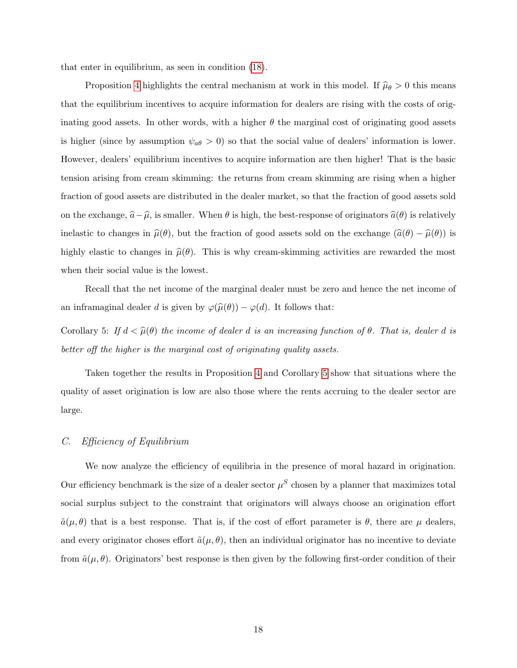that enter in equilibrium, as seen in condition [\(18\)](#page-17-0).

Proposition [4](#page-17-1) highlights the central mechanism at work in this model. If  $\hat{\mu}_{\theta} > 0$  this means that the equilibrium incentives to acquire information for dealers are rising with the costs of originating good assets. In other words, with a higher  $\theta$  the marginal cost of originating good assets is higher (since by assumption  $\psi_{a\theta} > 0$ ) so that the social value of dealers' information is lower. However, dealers' equilibrium incentives to acquire information are then higher! That is the basic tension arising from cream skimming: the returns from cream skimming are rising when a higher fraction of good assets are distributed in the dealer market, so that the fraction of good assets sold on the exchange,  $\hat{a}-\hat{\mu}$ , is smaller. When  $\theta$  is high, the best-response of originators  $\hat{a}(\theta)$  is relatively inelastic to changes in  $\hat{\mu}(\theta)$ , but the fraction of good assets sold on the exchange  $(\hat{a}(\theta) - \hat{\mu}(\theta))$  is highly elastic to changes in  $\hat{\mu}(\theta)$ . This is why cream-skimming activities are rewarded the most when their social value is the lowest.

Recall that the net income of the marginal dealer must be zero and hence the net income of an inframaginal dealer d is given by  $\varphi(\widehat{\mu}(\theta)) - \varphi(d)$ . It follows that:

<span id="page-18-0"></span>Corollary 5: If  $d < \hat{\mu}(\theta)$  the income of dealer d is an increasing function of  $\theta$ . That is, dealer d is better off the higher is the marginal cost of originating quality assets.

Taken together the results in Proposition [4](#page-17-1) and Corollary [5](#page-18-0) show that situations where the quality of asset origination is low are also those where the rents accruing to the dealer sector are large.

#### C. Efficiency of Equilibrium

We now analyze the efficiency of equilibria in the presence of moral hazard in origination. Our efficiency benchmark is the size of a dealer sector  $\mu^S$  chosen by a planner that maximizes total social surplus subject to the constraint that originators will always choose an origination effort  $\tilde{a}(\mu,\theta)$  that is a best response. That is, if the cost of effort parameter is  $\theta$ , there are  $\mu$  dealers, and every originator choses effort  $\tilde{a}(\mu, \theta)$ , then an individual originator has no incentive to deviate from  $\tilde{a}(\mu,\theta)$ . Originators' best response is then given by the following first-order condition of their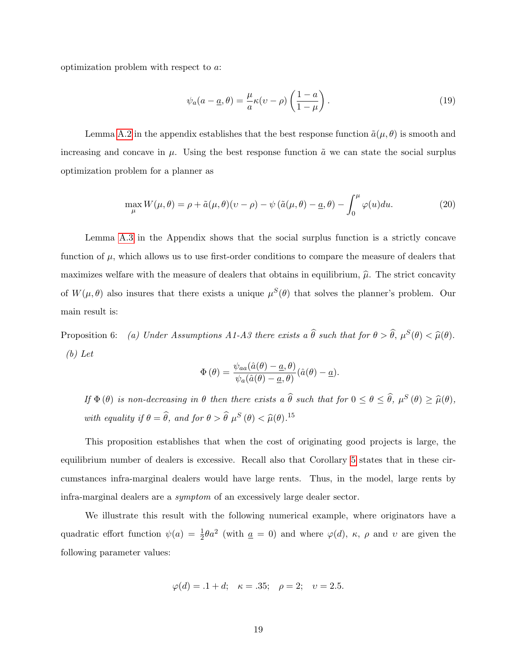optimization problem with respect to a:

<span id="page-19-0"></span>
$$
\psi_a(a - \underline{a}, \theta) = -\frac{\mu}{a} \kappa(v - \rho) \left(\frac{1 - a}{1 - \mu}\right). \tag{19}
$$

Lemma [A.2](#page-0-0) in the appendix establishes that the best response function  $\tilde{a}(\mu, \theta)$  is smooth and increasing and concave in  $\mu$ . Using the best response function  $\tilde{a}$  we can state the social surplus optimization problem for a planner as

$$
\max_{\mu} W(\mu,\theta) = \rho + \tilde{a}(\mu,\theta)(\nu-\rho) - \psi(\tilde{a}(\mu,\theta) - \underline{a},\theta) - \int_0^{\mu} \varphi(u) du.
$$
 (20)

Lemma [A.3](#page-0-0) in the Appendix shows that the social surplus function is a strictly concave function of  $\mu$ , which allows us to use first-order conditions to compare the measure of dealers that maximizes welfare with the measure of dealers that obtains in equilibrium,  $\hat{\mu}$ . The strict concavity of  $W(\mu, \theta)$  also insures that there exists a unique  $\mu^S(\theta)$  that solves the planner's problem. Our main result is:

Proposition 6: (a) Under Assumptions A1-A3 there exists a  $\hat{\theta}$  such that for  $\theta > \hat{\theta}$ ,  $\mu^{S}(\theta) < \hat{\mu}(\theta)$ . (b) Let

$$
\Phi(\theta) = \frac{\psi_{aa}(\hat{a}(\theta) - \underline{a}, \theta)}{\psi_a(\hat{a}(\theta) - \underline{a}, \theta)}(\hat{a}(\theta) - \underline{a}).
$$

If  $\Phi(\theta)$  is non-decreasing in  $\theta$  then there exists a  $\widehat{\theta}$  such that for  $0 \le \theta \le \widehat{\theta}$ ,  $\mu^S(\theta) \ge \widehat{\mu}(\theta)$ , with equality if  $\theta = \hat{\theta}$ , and for  $\theta > \hat{\theta}$   $\mu^S(\theta) < \hat{\mu}(\theta)$ .<sup>15</sup>

This proposition establishes that when the cost of originating good projects is large, the equilibrium number of dealers is excessive. Recall also that Corollary [5](#page-18-0) states that in these circumstances infra-marginal dealers would have large rents. Thus, in the model, large rents by infra-marginal dealers are a symptom of an excessively large dealer sector.

We illustrate this result with the following numerical example, where originators have a quadratic effort function  $\psi(a) = \frac{1}{2}\theta a^2$  (with  $\underline{a} = 0$ ) and where  $\varphi(d)$ ,  $\kappa$ ,  $\rho$  and v are given the following parameter values:

$$
\varphi(d) = .1 + d; \quad \kappa = .35; \quad \rho = 2; \quad \upsilon = 2.5.
$$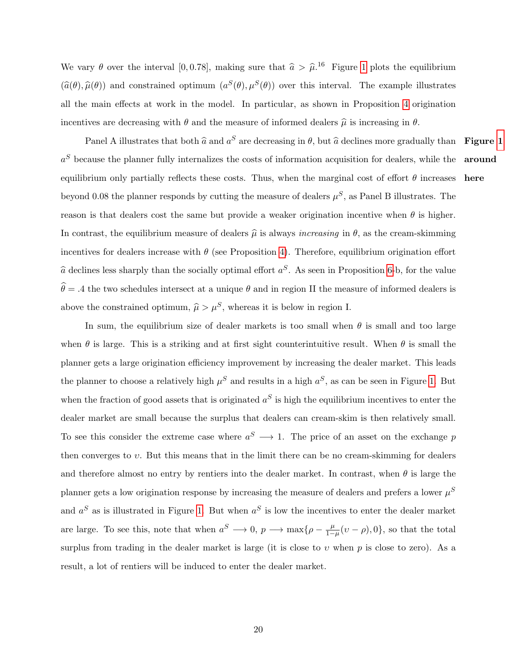We vary  $\theta$  over the interval [0, 0.78], making sure that  $\hat{a} > \hat{\mu}$ .<sup>16</sup> Figure [1](#page-38-0) plots the equilibrium  $(\widehat{a}(\theta), \widehat{\mu}(\theta))$  and constrained optimum  $(a^S(\theta), \mu^S(\theta))$  over this interval. The example illustrates all the main effects at work in the model. In particular, as shown in Proposition [4](#page-17-1) origination incentives are decreasing with  $\theta$  and the measure of informed dealers  $\hat{\mu}$  is increasing in  $\theta$ .

Panel A illustrates that both  $\hat{a}$  and  $a^S$  are decreasing in  $\theta$ , but  $\hat{a}$  declines more gradually than **Figure [1](#page-38-0)** around here  $a<sup>S</sup>$  because the planner fully internalizes the costs of information acquisition for dealers, while the equilibrium only partially reflects these costs. Thus, when the marginal cost of effort  $\theta$  increases beyond 0.08 the planner responds by cutting the measure of dealers  $\mu^S$ , as Panel B illustrates. The reason is that dealers cost the same but provide a weaker origination incentive when  $\theta$  is higher. In contrast, the equilibrium measure of dealers  $\hat{\mu}$  is always *increasing* in  $\theta$ , as the cream-skimming incentives for dealers increase with  $\theta$  (see Proposition [4\)](#page-17-1). Therefore, equilibrium origination effort  $\widehat{a}$  declines less sharply than the socially optimal effort  $a^S$ . As seen in Proposition [6-](#page-0-0)b, for the value  $\hat{\theta} = .4$  the two schedules intersect at a unique  $\theta$  and in region II the measure of informed dealers is above the constrained optimum,  $\hat{\mu} > \mu^S$ , whereas it is below in region I.

In sum, the equilibrium size of dealer markets is too small when  $\theta$  is small and too large when  $\theta$  is large. This is a striking and at first sight counterintuitive result. When  $\theta$  is small the planner gets a large origination efficiency improvement by increasing the dealer market. This leads the planner to choose a relatively high  $\mu^S$  and results in a high  $a^S$ , as can be seen in Figure [1.](#page-38-0) But when the fraction of good assets that is originated  $a<sup>S</sup>$  is high the equilibrium incentives to enter the dealer market are small because the surplus that dealers can cream-skim is then relatively small. To see this consider the extreme case where  $a^S \longrightarrow 1$ . The price of an asset on the exchange p then converges to  $v$ . But this means that in the limit there can be no cream-skimming for dealers and therefore almost no entry by rentiers into the dealer market. In contrast, when  $\theta$  is large the planner gets a low origination response by increasing the measure of dealers and prefers a lower  $\mu^S$ and  $a^S$  as is illustrated in Figure [1.](#page-38-0) But when  $a^S$  is low the incentives to enter the dealer market are large. To see this, note that when  $a^S \longrightarrow 0$ ,  $p \longrightarrow \max\{\rho - \frac{\mu}{1-\mu}\}$  $\frac{\mu}{1-\mu}(v-\rho),0\},\$  so that the total surplus from trading in the dealer market is large (it is close to  $v$  when  $p$  is close to zero). As a result, a lot of rentiers will be induced to enter the dealer market.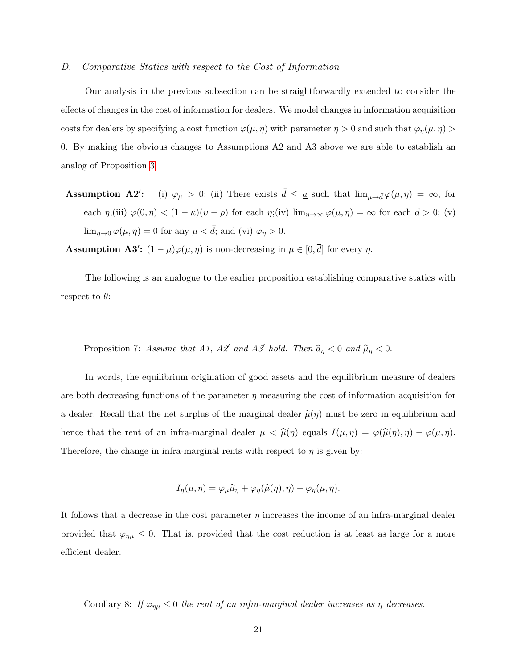#### D. Comparative Statics with respect to the Cost of Information

Our analysis in the previous subsection can be straightforwardly extended to consider the effects of changes in the cost of information for dealers. We model changes in information acquisition costs for dealers by specifying a cost function  $\varphi(\mu,\eta)$  with parameter  $\eta>0$  and such that  $\varphi_\eta(\mu,\eta)>$ 0. By making the obvious changes to Assumptions A2 and A3 above we are able to establish an analog of Proposition [3.](#page-17-2)

Assumption  $A2$ <sup>'</sup>: (i)  $\varphi_{\mu} > 0$ ; (ii) There exists  $\bar{d} \leq \underline{a}$  such that  $\lim_{\mu \to \bar{d}} \varphi(\mu, \eta) = \infty$ , for each  $\eta$ ;(iii)  $\varphi(0, \eta) < (1 - \kappa)(v - \rho)$  for each  $\eta$ ;(iv)  $\lim_{\eta \to \infty} \varphi(\mu, \eta) = \infty$  for each  $d > 0$ ; (v)  $\lim_{\eta\rightarrow 0}\varphi(\mu,\eta)=0$  for any  $\mu<\bar{d};$  and (vi)  $\varphi_\eta>0.$ 

**Assumption A3':**  $(1 - \mu)\varphi(\mu, \eta)$  is non-decreasing in  $\mu \in [0, \overline{d}]$  for every  $\eta$ .

The following is an analogue to the earlier proposition establishing comparative statics with respect to  $\theta$ :

<span id="page-21-0"></span>Proposition 7: Assume that A1, A2' and A3' hold. Then  $\widehat{a}_{\eta} < 0$  and  $\widehat{\mu}_{\eta} < 0$ .

In words, the equilibrium origination of good assets and the equilibrium measure of dealers are both decreasing functions of the parameter  $\eta$  measuring the cost of information acquisition for a dealer. Recall that the net surplus of the marginal dealer  $\hat{\mu}(\eta)$  must be zero in equilibrium and hence that the rent of an infra-marginal dealer  $\mu < \hat{\mu}(\eta)$  equals  $I(\mu, \eta) = \varphi(\hat{\mu}(\eta), \eta) - \varphi(\mu, \eta)$ . Therefore, the change in infra-marginal rents with respect to  $\eta$  is given by:

$$
I_{\eta}(\mu,\eta) = \varphi_{\mu}\widehat{\mu}_{\eta} + \varphi_{\eta}(\widehat{\mu}(\eta),\eta) - \varphi_{\eta}(\mu,\eta).
$$

It follows that a decrease in the cost parameter  $\eta$  increases the income of an infra-marginal dealer provided that  $\varphi_{\eta\mu} \leq 0$ . That is, provided that the cost reduction is at least as large for a more efficient dealer.

<span id="page-21-1"></span>Corollary 8: If  $\varphi_{\eta\mu} \leq 0$  the rent of an infra-marginal dealer increases as  $\eta$  decreases.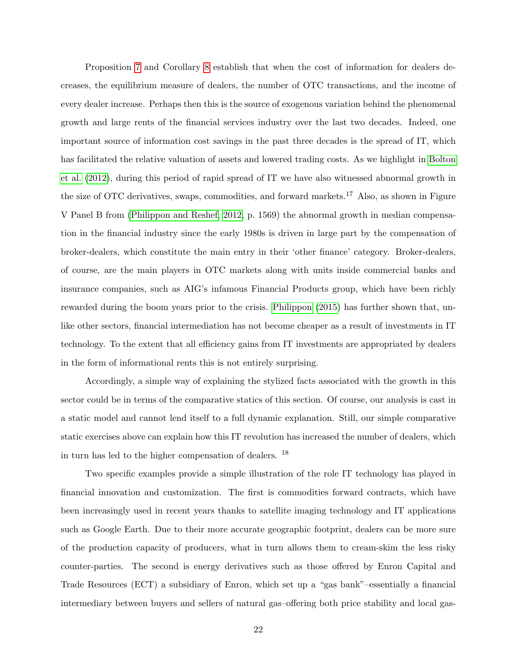Proposition [7](#page-21-0) and Corollary [8](#page-21-1) establish that when the cost of information for dealers decreases, the equilibrium measure of dealers, the number of OTC transactions, and the income of every dealer increase. Perhaps then this is the source of exogenous variation behind the phenomenal growth and large rents of the financial services industry over the last two decades. Indeed, one important source of information cost savings in the past three decades is the spread of IT, which has facilitated the relative valuation of assets and lowered trading costs. As we highlight in [Bolton](#page-25-0) [et al.](#page-25-0) [\(2012\)](#page-25-0), during this period of rapid spread of IT we have also witnessed abnormal growth in the size of OTC derivatives, swaps, commodities, and forward markets.<sup>17</sup> Also, as shown in Figure V Panel B from [\(Philippon and Reshef, 2012,](#page-27-0) p. 1569) the abnormal growth in median compensation in the financial industry since the early 1980s is driven in large part by the compensation of broker-dealers, which constitute the main entry in their 'other finance' category. Broker-dealers, of course, are the main players in OTC markets along with units inside commercial banks and insurance companies, such as AIG's infamous Financial Products group, which have been richly rewarded during the boom years prior to the crisis. [Philippon](#page-27-1) [\(2015\)](#page-27-1) has further shown that, unlike other sectors, financial intermediation has not become cheaper as a result of investments in IT technology. To the extent that all efficiency gains from IT investments are appropriated by dealers in the form of informational rents this is not entirely surprising.

Accordingly, a simple way of explaining the stylized facts associated with the growth in this sector could be in terms of the comparative statics of this section. Of course, our analysis is cast in a static model and cannot lend itself to a full dynamic explanation. Still, our simple comparative static exercises above can explain how this IT revolution has increased the number of dealers, which in turn has led to the higher compensation of dealers. <sup>18</sup>

Two specific examples provide a simple illustration of the role IT technology has played in financial innovation and customization. The first is commodities forward contracts, which have been increasingly used in recent years thanks to satellite imaging technology and IT applications such as Google Earth. Due to their more accurate geographic footprint, dealers can be more sure of the production capacity of producers, what in turn allows them to cream-skim the less risky counter-parties. The second is energy derivatives such as those offered by Enron Capital and Trade Resources (ECT) a subsidiary of Enron, which set up a "gas bank"–essentially a financial intermediary between buyers and sellers of natural gas–offering both price stability and local gas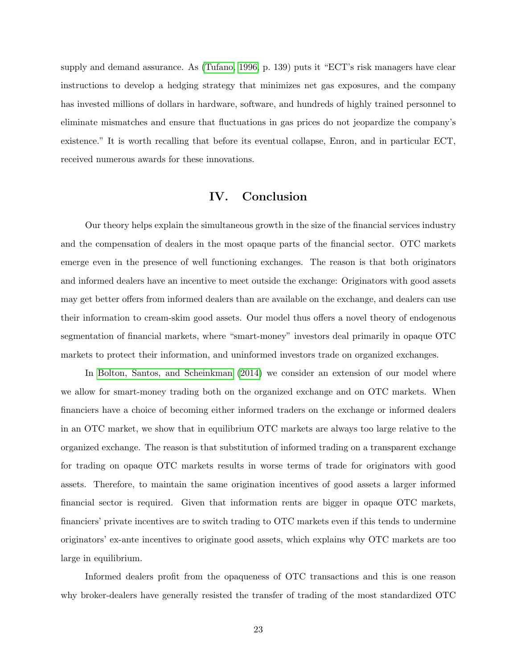supply and demand assurance. As [\(Tufano, 1996,](#page-28-1) p. 139) puts it "ECT's risk managers have clear instructions to develop a hedging strategy that minimizes net gas exposures, and the company has invested millions of dollars in hardware, software, and hundreds of highly trained personnel to eliminate mismatches and ensure that fluctuations in gas prices do not jeopardize the company's existence." It is worth recalling that before its eventual collapse, Enron, and in particular ECT, received numerous awards for these innovations.

# IV. Conclusion

Our theory helps explain the simultaneous growth in the size of the financial services industry and the compensation of dealers in the most opaque parts of the financial sector. OTC markets emerge even in the presence of well functioning exchanges. The reason is that both originators and informed dealers have an incentive to meet outside the exchange: Originators with good assets may get better offers from informed dealers than are available on the exchange, and dealers can use their information to cream-skim good assets. Our model thus offers a novel theory of endogenous segmentation of financial markets, where "smart-money" investors deal primarily in opaque OTC markets to protect their information, and uninformed investors trade on organized exchanges.

In [Bolton, Santos, and Scheinkman](#page-25-6) [\(2014\)](#page-25-6) we consider an extension of our model where we allow for smart-money trading both on the organized exchange and on OTC markets. When financiers have a choice of becoming either informed traders on the exchange or informed dealers in an OTC market, we show that in equilibrium OTC markets are always too large relative to the organized exchange. The reason is that substitution of informed trading on a transparent exchange for trading on opaque OTC markets results in worse terms of trade for originators with good assets. Therefore, to maintain the same origination incentives of good assets a larger informed financial sector is required. Given that information rents are bigger in opaque OTC markets, financiers' private incentives are to switch trading to OTC markets even if this tends to undermine originators' ex-ante incentives to originate good assets, which explains why OTC markets are too large in equilibrium.

Informed dealers profit from the opaqueness of OTC transactions and this is one reason why broker-dealers have generally resisted the transfer of trading of the most standardized OTC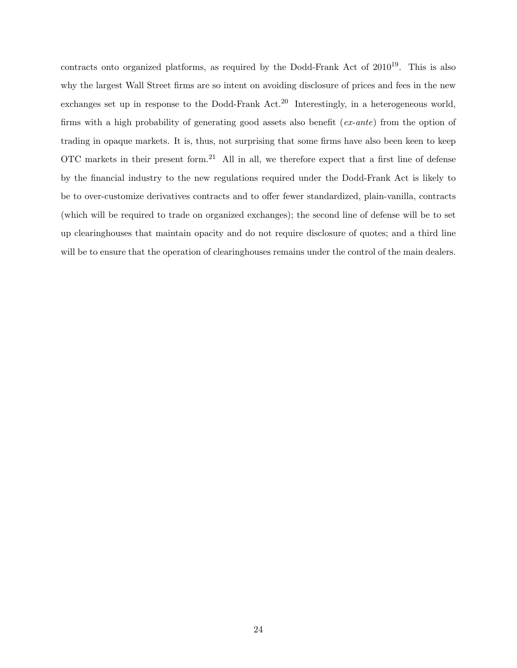contracts onto organized platforms, as required by the Dodd-Frank Act of  $2010^{19}$ . This is also why the largest Wall Street firms are so intent on avoiding disclosure of prices and fees in the new exchanges set up in response to the Dodd-Frank Act.<sup>20</sup> Interestingly, in a heterogeneous world, firms with a high probability of generating good assets also benefit (ex-ante) from the option of trading in opaque markets. It is, thus, not surprising that some firms have also been keen to keep OTC markets in their present form.<sup>21</sup> All in all, we therefore expect that a first line of defense by the financial industry to the new regulations required under the Dodd-Frank Act is likely to be to over-customize derivatives contracts and to offer fewer standardized, plain-vanilla, contracts (which will be required to trade on organized exchanges); the second line of defense will be to set up clearinghouses that maintain opacity and do not require disclosure of quotes; and a third line will be to ensure that the operation of clearinghouses remains under the control of the main dealers.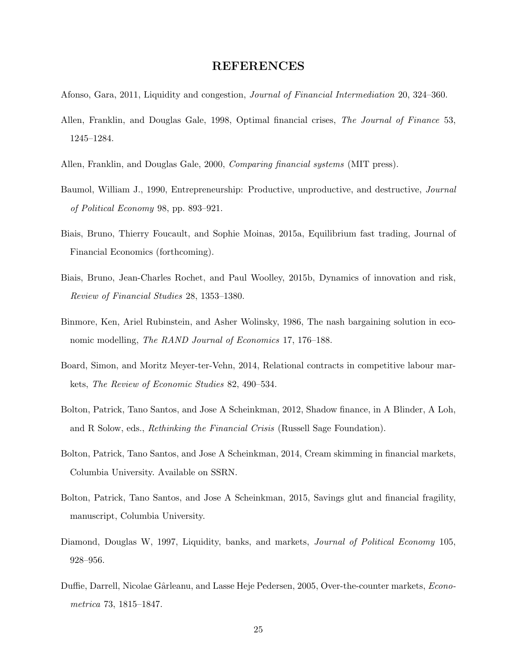# REFERENCES

- <span id="page-25-9"></span>Afonso, Gara, 2011, Liquidity and congestion, Journal of Financial Intermediation 20, 324–360.
- <span id="page-25-12"></span>Allen, Franklin, and Douglas Gale, 1998, Optimal financial crises, The Journal of Finance 53, 1245–1284.
- <span id="page-25-1"></span>Allen, Franklin, and Douglas Gale, 2000, *Comparing financial systems* (MIT press).
- <span id="page-25-2"></span>Baumol, William J., 1990, Entrepreneurship: Productive, unproductive, and destructive, Journal of Political Economy 98, pp. 893–921.
- <span id="page-25-4"></span>Biais, Bruno, Thierry Foucault, and Sophie Moinas, 2015a, Equilibrium fast trading, Journal of Financial Economics (forthcoming).
- <span id="page-25-3"></span>Biais, Bruno, Jean-Charles Rochet, and Paul Woolley, 2015b, Dynamics of innovation and risk, Review of Financial Studies 28, 1353–1380.
- <span id="page-25-5"></span>Binmore, Ken, Ariel Rubinstein, and Asher Wolinsky, 1986, The nash bargaining solution in economic modelling, The RAND Journal of Economics 17, 176–188.
- <span id="page-25-10"></span>Board, Simon, and Moritz Meyer-ter-Vehn, 2014, Relational contracts in competitive labour markets, The Review of Economic Studies 82, 490–534.
- <span id="page-25-0"></span>Bolton, Patrick, Tano Santos, and Jose A Scheinkman, 2012, Shadow finance, in A Blinder, A Loh, and R Solow, eds., *Rethinking the Financial Crisis* (Russell Sage Foundation).
- <span id="page-25-6"></span>Bolton, Patrick, Tano Santos, and Jose A Scheinkman, 2014, Cream skimming in financial markets, Columbia University. Available on SSRN.
- <span id="page-25-11"></span>Bolton, Patrick, Tano Santos, and Jose A Scheinkman, 2015, Savings glut and financial fragility, manuscript, Columbia University.
- <span id="page-25-7"></span>Diamond, Douglas W, 1997, Liquidity, banks, and markets, *Journal of Political Economy* 105, 928–956.
- <span id="page-25-8"></span>Duffie, Darrell, Nicolae Gârleanu, and Lasse Heje Pedersen, 2005, Over-the-counter markets, *Econo*metrica 73, 1815–1847.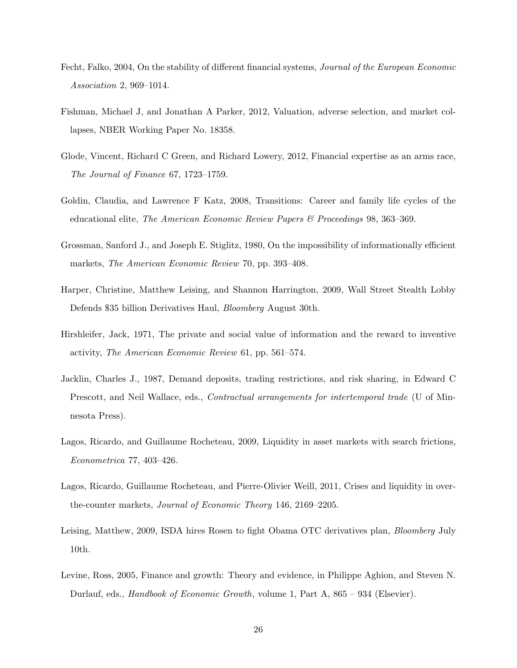- <span id="page-26-7"></span>Fecht, Falko, 2004, On the stability of different financial systems, Journal of the European Economic Association 2, 969–1014.
- <span id="page-26-4"></span>Fishman, Michael J, and Jonathan A Parker, 2012, Valuation, adverse selection, and market collapses, NBER Working Paper No. 18358.
- <span id="page-26-3"></span>Glode, Vincent, Richard C Green, and Richard Lowery, 2012, Financial expertise as an arms race, The Journal of Finance 67, 1723–1759.
- <span id="page-26-5"></span>Goldin, Claudia, and Lawrence F Katz, 2008, Transitions: Career and family life cycles of the educational elite, The American Economic Review Papers & Proceedings 98, 363–369.
- <span id="page-26-1"></span>Grossman, Sanford J., and Joseph E. Stiglitz, 1980, On the impossibility of informationally efficient markets, The American Economic Review 70, pp. 393–408.
- <span id="page-26-11"></span>Harper, Christine, Matthew Leising, and Shannon Harrington, 2009, Wall Street Stealth Lobby Defends \$35 billion Derivatives Haul, Bloomberg August 30th.
- <span id="page-26-0"></span>Hirshleifer, Jack, 1971, The private and social value of information and the reward to inventive activity, The American Economic Review 61, pp. 561–574.
- <span id="page-26-6"></span>Jacklin, Charles J., 1987, Demand deposits, trading restrictions, and risk sharing, in Edward C Prescott, and Neil Wallace, eds., Contractual arrangements for intertemporal trade (U of Minnesota Press).
- <span id="page-26-8"></span>Lagos, Ricardo, and Guillaume Rocheteau, 2009, Liquidity in asset markets with search frictions, Econometrica 77, 403–426.
- <span id="page-26-9"></span>Lagos, Ricardo, Guillaume Rocheteau, and Pierre-Olivier Weill, 2011, Crises and liquidity in overthe-counter markets, Journal of Economic Theory 146, 2169–2205.
- <span id="page-26-10"></span>Leising, Matthew, 2009, ISDA hires Rosen to fight Obama OTC derivatives plan, *Bloomberg* July 10th.
- <span id="page-26-2"></span>Levine, Ross, 2005, Finance and growth: Theory and evidence, in Philippe Aghion, and Steven N. Durlauf, eds., Handbook of Economic Growth, volume 1, Part A, 865 – 934 (Elsevier).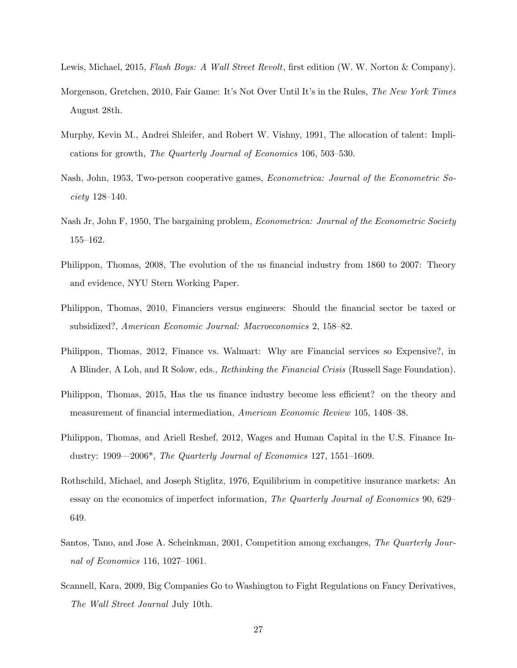<span id="page-27-11"></span><span id="page-27-10"></span>Lewis, Michael, 2015, Flash Boys: A Wall Street Revolt, first edition (W. W. Norton & Company).

- Morgenson, Gretchen, 2010, Fair Game: It's Not Over Until It's in the Rules, The New York Times August 28th.
- <span id="page-27-4"></span>Murphy, Kevin M., Andrei Shleifer, and Robert W. Vishny, 1991, The allocation of talent: Implications for growth, The Quarterly Journal of Economics 106, 503–530.
- <span id="page-27-7"></span>Nash, John, 1953, Two-person cooperative games, Econometrica: Journal of the Econometric Society 128–140.
- <span id="page-27-6"></span>Nash Jr, John F, 1950, The bargaining problem, *Econometrica: Journal of the Econometric Society* 155–162.
- <span id="page-27-3"></span>Philippon, Thomas, 2008, The evolution of the us financial industry from 1860 to 2007: Theory and evidence, NYU Stern Working Paper.
- <span id="page-27-5"></span>Philippon, Thomas, 2010, Financiers versus engineers: Should the financial sector be taxed or subsidized?, American Economic Journal: Macroeconomics 2, 158–82.
- <span id="page-27-2"></span>Philippon, Thomas, 2012, Finance vs. Walmart: Why are Financial services so Expensive?, in A Blinder, A Loh, and R Solow, eds., Rethinking the Financial Crisis (Russell Sage Foundation).
- <span id="page-27-1"></span>Philippon, Thomas, 2015, Has the us finance industry become less efficient? on the theory and measurement of financial intermediation, American Economic Review 105, 1408–38.
- <span id="page-27-0"></span>Philippon, Thomas, and Ariell Reshef, 2012, Wages and Human Capital in the U.S. Finance Industry: 1909—2006\*, The Quarterly Journal of Economics 127, 1551–1609.
- <span id="page-27-8"></span>Rothschild, Michael, and Joseph Stiglitz, 1976, Equilibrium in competitive insurance markets: An essay on the economics of imperfect information, The Quarterly Journal of Economics 90, 629– 649.
- <span id="page-27-9"></span>Santos, Tano, and Jose A. Scheinkman, 2001, Competition among exchanges, The Quarterly Journal of Economics 116, 1027–1061.
- <span id="page-27-12"></span>Scannell, Kara, 2009, Big Companies Go to Washington to Fight Regulations on Fancy Derivatives, The Wall Street Journal July 10th.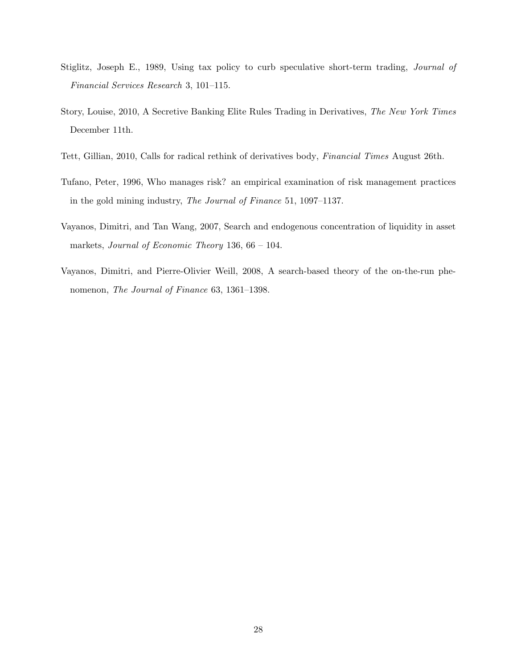- <span id="page-28-0"></span>Stiglitz, Joseph E., 1989, Using tax policy to curb speculative short-term trading, Journal of Financial Services Research 3, 101–115.
- <span id="page-28-5"></span>Story, Louise, 2010, A Secretive Banking Elite Rules Trading in Derivatives, The New York Times December 11th.
- <span id="page-28-4"></span>Tett, Gillian, 2010, Calls for radical rethink of derivatives body, Financial Times August 26th.
- <span id="page-28-1"></span>Tufano, Peter, 1996, Who manages risk? an empirical examination of risk management practices in the gold mining industry, The Journal of Finance 51, 1097–1137.
- <span id="page-28-2"></span>Vayanos, Dimitri, and Tan Wang, 2007, Search and endogenous concentration of liquidity in asset markets, Journal of Economic Theory 136, 66 – 104.
- <span id="page-28-3"></span>Vayanos, Dimitri, and Pierre-Olivier Weill, 2008, A search-based theory of the on-the-run phenomenon, The Journal of Finance 63, 1361–1398.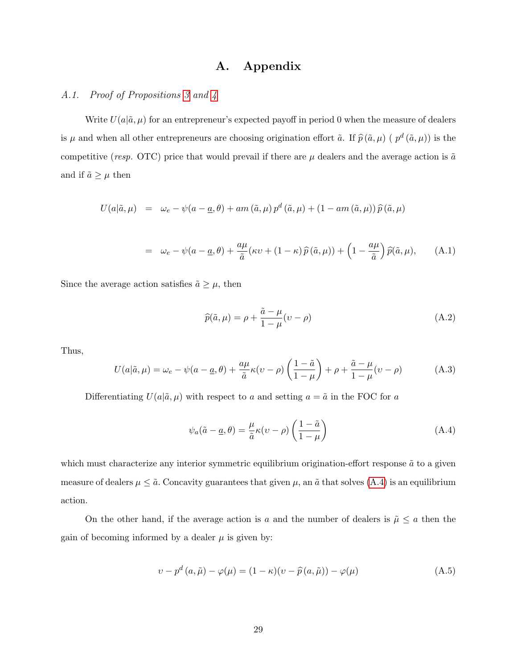# A. Appendix

### A.1. Proof of Propositions [3](#page-17-2) and [4](#page-17-1)

Write  $U(a|\tilde{a}, \mu)$  for an entrepreneur's expected payoff in period 0 when the measure of dealers is  $\mu$  and when all other entrepreneurs are choosing origination effort  $\tilde{a}$ . If  $\hat{p}(\tilde{a}, \mu)$  ( $p^d(\tilde{a}, \mu)$ ) is the competitive (resp. OTC) price that would prevail if there are  $\mu$  dealers and the average action is  $\tilde{a}$ and if  $\tilde{a} \geq \mu$  then

$$
U(a|\tilde{a}, \mu) = \omega_e - \psi(a - \underline{a}, \theta) + am(\tilde{a}, \mu) p^d(\tilde{a}, \mu) + (1 - am(\tilde{a}, \mu)) \widehat{p}(\tilde{a}, \mu)
$$

$$
= \omega_e - \psi(a - \underline{a}, \theta) + \frac{a\mu}{\tilde{a}}(\kappa v + (1 - \kappa)\hat{p}(\tilde{a}, \mu)) + \left(1 - \frac{a\mu}{\tilde{a}}\right)\hat{p}(\tilde{a}, \mu), \quad (A.1)
$$

Since the average action satisfies  $\tilde{a} \geq \mu$ , then

$$
\widehat{p}(\tilde{a}, \mu) = \rho + \frac{\tilde{a} - \mu}{1 - \mu}(v - \rho)
$$
\n(A.2)

Thus,

$$
U(a|\tilde{a}, \mu) = \omega_e - \psi(a - \underline{a}, \theta) + \frac{a\mu}{\tilde{a}}\kappa(v - \rho)\left(\frac{1 - \tilde{a}}{1 - \mu}\right) + \rho + \frac{\tilde{a} - \mu}{1 - \mu}(v - \rho) \tag{A.3}
$$

Differentiating  $U(a|\tilde{a}, \mu)$  with respect to a and setting  $a = \tilde{a}$  in the FOC for a

$$
\psi_a(\tilde{a} - \underline{a}, \theta) = \frac{\mu}{\tilde{a}} \kappa(v - \rho) \left(\frac{1 - \tilde{a}}{1 - \mu}\right)
$$
\n(A.4)

which must characterize any interior symmetric equilibrium origination-effort response  $\tilde{a}$  to a given measure of dealers  $\mu \leq \tilde{a}$ . Concavity guarantees that given  $\mu$ , an  $\tilde{a}$  that solves [\(A.4\)](#page-9-2) is an equilibrium action.

On the other hand, if the average action is a and the number of dealers is  $\tilde{\mu} \le a$  then the gain of becoming informed by a dealer  $\mu$  is given by:

$$
\upsilon - p^d(a, \tilde{\mu}) - \varphi(\mu) = (1 - \kappa)(\upsilon - \widehat{p}(a, \tilde{\mu})) - \varphi(\mu)
$$
\n(A.5)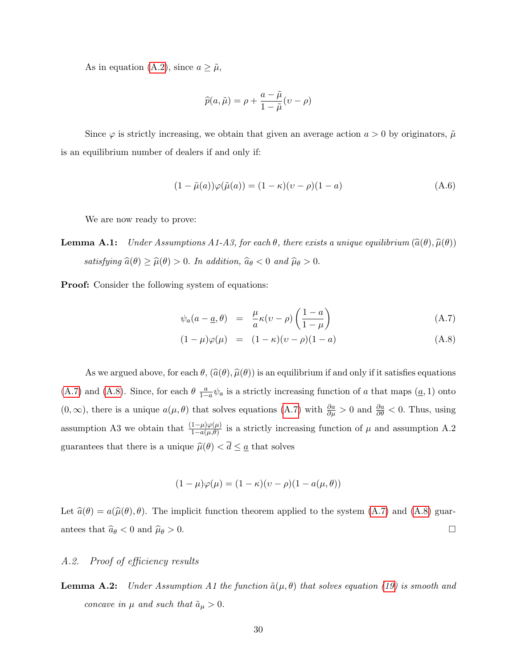As in equation [\(A.2\)](#page-7-0), since  $a \geq \tilde{\mu}$ ,

$$
\widehat{p}(a,\tilde{\mu}) = \rho + \frac{a - \tilde{\mu}}{1 - \tilde{\mu}}(v - \rho)
$$

Since  $\varphi$  is strictly increasing, we obtain that given an average action  $a > 0$  by originators,  $\tilde{\mu}$ is an equilibrium number of dealers if and only if:

$$
(1 - \tilde{\mu}(a))\varphi(\tilde{\mu}(a)) = (1 - \kappa)(v - \rho)(1 - a)
$$
\n(A.6)

We are now ready to prove:

**Lemma A.1:** Under Assumptions A1-A3, for each  $\theta$ , there exists a unique equilibrium  $(\hat{a}(\theta), \hat{\mu}(\theta))$ satisfying  $\widehat{a}(\theta) \ge \widehat{\mu}(\theta) > 0$ . In addition,  $\widehat{a}_{\theta} < 0$  and  $\widehat{\mu}_{\theta} > 0$ .

**Proof:** Consider the following system of equations:

<span id="page-30-0"></span>
$$
\psi_a(a - \underline{a}, \theta) = \frac{\mu}{a} \kappa(v - \rho) \left( \frac{1 - a}{1 - \mu} \right) \tag{A.7}
$$

$$
(1 - \mu)\varphi(\mu) = (1 - \kappa)(v - \rho)(1 - a)
$$
 (A.8)

As we argued above, for each  $\theta$ ,  $(\hat{a}(\theta), \hat{\mu}(\theta))$  is an equilibrium if and only if it satisfies equations [\(A.7\)](#page-30-0) and [\(A.8\)](#page-30-0). Since, for each  $\theta \frac{a}{1-a} \psi_a$  is a strictly increasing function of a that maps  $(\underline{a}, 1)$  onto  $(0, \infty)$ , there is a unique  $a(\mu, \theta)$  that solves equations  $(A.7)$  with  $\frac{\partial a}{\partial \mu} > 0$  and  $\frac{\partial a}{\partial \theta} < 0$ . Thus, using assumption A3 we obtain that  $\frac{(1-\mu)\varphi(\mu)}{1-a(\mu,\theta)}$  is a strictly increasing function of  $\mu$  and assumption A.2 guarantees that there is a unique  $\widehat{\mu}(\theta) < \overline{d} \leq \underline{a}$  that solves

$$
(1 - \mu)\varphi(\mu) = (1 - \kappa)(v - \rho)(1 - a(\mu, \theta))
$$

Let  $\hat{a}(\theta) = a(\hat{\mu}(\theta), \theta)$ . The implicit function theorem applied to the system [\(A.7\)](#page-30-0) and [\(A.8\)](#page-30-0) guarantees that  $\hat{a}_{\theta} < 0$  and  $\hat{\mu}_{\theta} > 0$ .

## A.2. Proof of efficiency results

**Lemma A.2:** Under Assumption A1 the function  $\tilde{a}(\mu,\theta)$  that solves equation [\(19\)](#page-19-0) is smooth and concave in  $\mu$  and such that  $\tilde{a}_{\mu} > 0$ .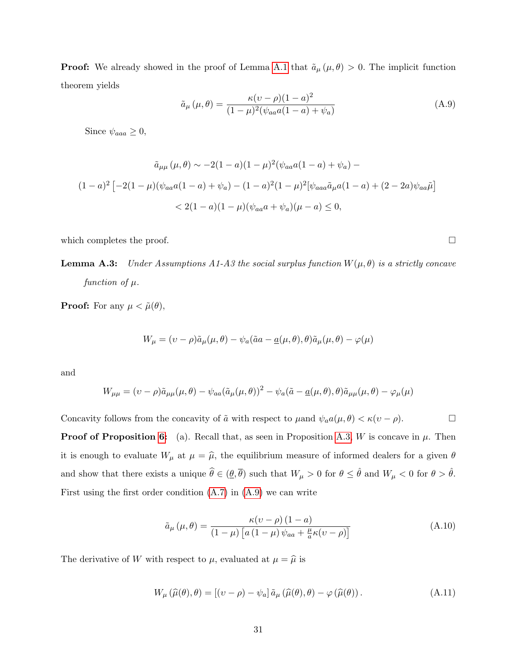**Proof:** We already showed in the proof of Lemma [A.1](#page-0-0) that  $\tilde{a}_{\mu}(\mu,\theta) > 0$ . The implicit function theorem yields

<span id="page-31-0"></span>
$$
\tilde{a}_{\mu}(\mu,\theta) = \frac{\kappa(\nu-\rho)(1-a)^2}{(1-\mu)^2(\psi_{aa}a(1-a)+\psi_a)}
$$
(A.9)

Since  $\psi_{aaa} \geq 0$ ,

$$
\tilde{a}_{\mu\mu}(\mu,\theta) \sim -2(1-a)(1-\mu)^2(\psi_{aa}a(1-a) + \psi_a) -
$$
  

$$
(1-a)^2 \left[ -2(1-\mu)(\psi_{aa}a(1-a) + \psi_a) - (1-a)^2(1-\mu)^2[\psi_{aaa}\tilde{a}_\mu a(1-a) + (2-2a)\psi_{aa}\tilde{\mu}] \right]
$$
  

$$
< 2(1-a)(1-\mu)(\psi_{aa}a + \psi_a)(\mu - a) \le 0,
$$

which completes the proof.  $\Box$ 

**Lemma A.3:** Under Assumptions A1-A3 the social surplus function  $W(\mu, \theta)$  is a strictly concave function of  $\mu$ .

**Proof:** For any  $\mu < \tilde{\mu}(\theta)$ ,

$$
W_{\mu} = (\upsilon - \rho)\tilde{a}_{\mu}(\mu, \theta) - \psi_a(\tilde{a}a - \underline{a}(\mu, \theta), \theta)\tilde{a}_{\mu}(\mu, \theta) - \varphi(\mu)
$$

and

$$
W_{\mu\mu} = (\nu - \rho)\tilde{a}_{\mu\mu}(\mu,\theta) - \psi_{aa}(\tilde{a}_{\mu}(\mu,\theta))^2 - \psi_a(\tilde{a} - \underline{a}(\mu,\theta),\theta)\tilde{a}_{\mu\mu}(\mu,\theta) - \varphi_{\mu}(\mu)
$$

Concavity follows from the concavity of  $\tilde{a}$  with respect to  $\mu$ and  $\psi_a a(\mu, \theta) < \kappa(v - \rho)$ .

**Proof of Proposition [6:](#page-0-0)** (a). Recall that, as seen in Proposition [A.3,](#page-0-0) W is concave in  $\mu$ . Then it is enough to evaluate  $W_{\mu}$  at  $\mu = \hat{\mu}$ , the equilibrium measure of informed dealers for a given  $\theta$ and show that there exists a unique  $\widehat{\theta} \in (\underline{\theta}, \overline{\theta})$  such that  $W_{\mu} > 0$  for  $\theta \leq \widehat{\theta}$  and  $W_{\mu} < 0$  for  $\theta > \widehat{\theta}$ . First using the first order condition  $(A.7)$  in  $(A.9)$  we can write

<span id="page-31-1"></span>
$$
\tilde{a}_{\mu}(\mu,\theta) = \frac{\kappa(\nu-\rho)(1-a)}{(1-\mu)\left[a\left(1-\mu\right)\psi_{aa} + \frac{\mu}{a}\kappa(\nu-\rho)\right]}
$$
\n(A.10)

The derivative of W with respect to  $\mu$ , evaluated at  $\mu = \widehat{\mu}$  is

<span id="page-31-2"></span>
$$
W_{\mu}(\widehat{\mu}(\theta), \theta) = \left[ (v - \rho) - \psi_a \right] \tilde{a}_{\mu}(\widehat{\mu}(\theta), \theta) - \varphi(\widehat{\mu}(\theta)). \tag{A.11}
$$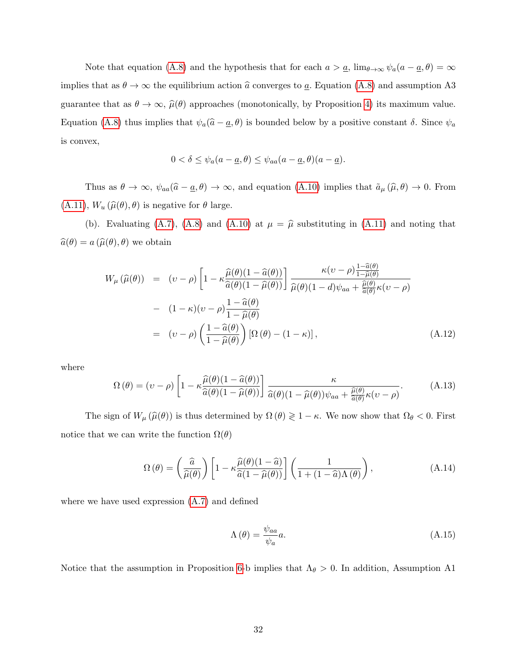Note that equation [\(A.8\)](#page-30-0) and the hypothesis that for each  $a > a$ ,  $\lim_{\theta \to \infty} \psi_a(a - a, \theta) = \infty$ implies that as  $\theta \to \infty$  the equilibrium action  $\hat{a}$  converges to  $\underline{a}$ . Equation [\(A.8\)](#page-30-0) and assumption A3 guarantee that as  $\theta \to \infty$ ,  $\hat{\mu}(\theta)$  approaches (monotonically, by Proposition [4\)](#page-17-1) its maximum value. Equation [\(A.8\)](#page-30-0) thus implies that  $\psi_a(\hat{a}-\underline{a},\theta)$  is bounded below by a positive constant  $\delta$ . Since  $\psi_a$ is convex,

$$
0 < \delta \le \psi_a(a - \underline{a}, \theta) \le \psi_{aa}(a - \underline{a}, \theta)(a - \underline{a}).
$$

Thus as  $\theta \to \infty$ ,  $\psi_{aa}(\hat{a} - \underline{a}, \theta) \to \infty$ , and equation [\(A.10\)](#page-31-1) implies that  $\tilde{a}_{\mu}(\hat{\mu}, \theta) \to 0$ . From [\(A.11\)](#page-31-2),  $W_u(\hat{\mu}(\theta), \theta)$  is negative for  $\theta$  large.

(b). Evaluating [\(A.7\)](#page-30-0), [\(A.8\)](#page-30-0) and [\(A.10\)](#page-31-1) at  $\mu = \hat{\mu}$  substituting in [\(A.11\)](#page-31-2) and noting that  $\widehat{a}(\theta) = a(\widehat{\mu}(\theta), \theta)$  we obtain

$$
W_{\mu}(\hat{\mu}(\theta)) = (v - \rho) \left[ 1 - \kappa \frac{\hat{\mu}(\theta)(1 - \hat{\alpha}(\theta))}{\hat{\alpha}(\theta)(1 - \hat{\mu}(\theta))} \right] \frac{\kappa(v - \rho) \frac{1 - \hat{\alpha}(\theta)}{1 - \hat{\mu}(\theta)}}{\hat{\mu}(\theta)(1 - d)\psi_{aa} + \frac{\hat{\mu}(\theta)}{\hat{\alpha}(\theta)}\kappa(v - \rho)}
$$
  
- 
$$
(1 - \kappa)(v - \rho) \frac{1 - \hat{\alpha}(\theta)}{1 - \hat{\mu}(\theta)}
$$
  
= 
$$
(v - \rho) \left( \frac{1 - \hat{\alpha}(\theta)}{1 - \hat{\mu}(\theta)} \right) [\Omega(\theta) - (1 - \kappa)],
$$
 (A.12)

where

$$
\Omega(\theta) = (\nu - \rho) \left[ 1 - \kappa \frac{\widehat{\mu}(\theta)(1 - \widehat{a}(\theta))}{\widehat{a}(\theta)(1 - \widehat{\mu}(\theta))} \right] \frac{\kappa}{\widehat{a}(\theta)(1 - \widehat{\mu}(\theta))\psi_{aa} + \frac{\widehat{\mu}(\theta)}{\widehat{a}(\theta)}\kappa(\nu - \rho)}.
$$
(A.13)

The sign of  $W_{\mu}(\hat{\mu}(\theta))$  is thus determined by  $\Omega(\theta) \geq 1 - \kappa$ . We now show that  $\Omega_{\theta} < 0$ . First notice that we can write the function  $\Omega(\theta)$ 

$$
\Omega(\theta) = \left(\frac{\widehat{a}}{\widehat{\mu}(\theta)}\right) \left[1 - \kappa \frac{\widehat{\mu}(\theta)(1-\widehat{a})}{\widehat{a}(1-\widehat{\mu}(\theta))}\right] \left(\frac{1}{1 + (1-\widehat{a})\Lambda(\theta)}\right),\tag{A.14}
$$

where we have used expression [\(A.7\)](#page-30-0) and defined

$$
\Lambda(\theta) = \frac{\psi_{aa}}{\psi_a} a. \tag{A.15}
$$

Notice that the assumption in Proposition [6-](#page-0-0)b implies that  $\Lambda_{\theta} > 0$ . In addition, Assumption A1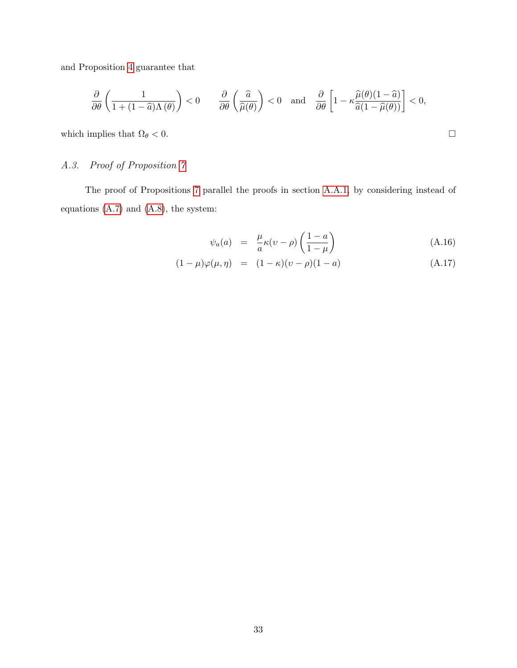and Proposition [4](#page-17-1) guarantee that

$$
\frac{\partial}{\partial \theta} \left( \frac{1}{1 + (1 - \widehat{a})\Lambda(\theta)} \right) < 0 \qquad \frac{\partial}{\partial \theta} \left( \frac{\widehat{a}}{\widehat{\mu}(\theta)} \right) < 0 \quad \text{and} \quad \frac{\partial}{\partial \theta} \left[ 1 - \kappa \frac{\widehat{\mu}(\theta)(1 - \widehat{a})}{\widehat{a}(1 - \widehat{\mu}(\theta))} \right] < 0,
$$

which implies that  $\Omega_{\theta} < 0$ .

# A.3. Proof of Proposition [7](#page-21-0)

The proof of Propositions [7](#page-21-0) parallel the proofs in section [A.A.1,](#page-6-0) by considering instead of equations [\(A.7\)](#page-30-0) and [\(A.8\)](#page-30-0), the system:

$$
\psi_a(a) = \frac{\mu}{a} \kappa(v - \rho) \left( \frac{1 - a}{1 - \mu} \right) \tag{A.16}
$$

$$
(1 - \mu)\varphi(\mu, \eta) = (1 - \kappa)(v - \rho)(1 - a)
$$
 (A.17)

$$
\Box
$$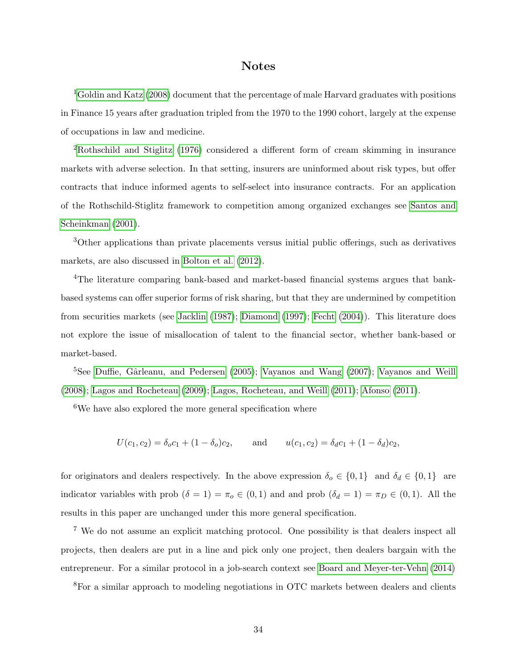## Notes

<sup>1</sup>[Goldin and Katz](#page-26-5) [\(2008\)](#page-26-5) document that the percentage of male Harvard graduates with positions in Finance 15 years after graduation tripled from the 1970 to the 1990 cohort, largely at the expense of occupations in law and medicine.

<sup>2</sup>[Rothschild and Stiglitz](#page-27-8) [\(1976\)](#page-27-8) considered a different form of cream skimming in insurance markets with adverse selection. In that setting, insurers are uninformed about risk types, but offer contracts that induce informed agents to self-select into insurance contracts. For an application of the Rothschild-Stiglitz framework to competition among organized exchanges see [Santos and](#page-27-9) [Scheinkman](#page-27-9) [\(2001\)](#page-27-9).

<sup>3</sup>Other applications than private placements versus initial public offerings, such as derivatives markets, are also discussed in [Bolton et al.](#page-25-0) [\(2012\)](#page-25-0).

<sup>4</sup>The literature comparing bank-based and market-based financial systems argues that bankbased systems can offer superior forms of risk sharing, but that they are undermined by competition from securities markets (see [Jacklin](#page-26-6) [\(1987\)](#page-26-6); [Diamond](#page-25-7) [\(1997\)](#page-25-7); [Fecht](#page-26-7) [\(2004\)](#page-26-7)). This literature does not explore the issue of misallocation of talent to the financial sector, whether bank-based or market-based.

 $5$ See Duffie, Gârleanu, and Pedersen [\(2005\)](#page-25-8); [Vayanos and Wang](#page-28-2) [\(2007\)](#page-28-2); [Vayanos and Weill](#page-28-3) [\(2008\)](#page-28-3); [Lagos and Rocheteau](#page-26-8) [\(2009\)](#page-26-8); [Lagos, Rocheteau, and Weill](#page-26-9) [\(2011\)](#page-26-9); [Afonso](#page-25-9) [\(2011\)](#page-25-9).

<sup>6</sup>We have also explored the more general specification where

 $U(c_1, c_2) = \delta_0 c_1 + (1 - \delta_0)c_2$ , and  $u(c_1, c_2) = \delta_d c_1 + (1 - \delta_d)c_2$ ,

for originators and dealers respectively. In the above expression  $\delta_o \in \{0,1\}$  and  $\delta_d \in \{0,1\}$  are indicator variables with prob  $(\delta = 1) = \pi_o \in (0, 1)$  and and prob  $(\delta_d = 1) = \pi_D \in (0, 1)$ . All the results in this paper are unchanged under this more general specification.

<sup>7</sup> We do not assume an explicit matching protocol. One possibility is that dealers inspect all projects, then dealers are put in a line and pick only one project, then dealers bargain with the entrepreneur. For a similar protocol in a job-search context see [Board and Meyer-ter-Vehn](#page-25-10) [\(2014\)](#page-25-10)

<sup>8</sup>For a similar approach to modeling negotiations in OTC markets between dealers and clients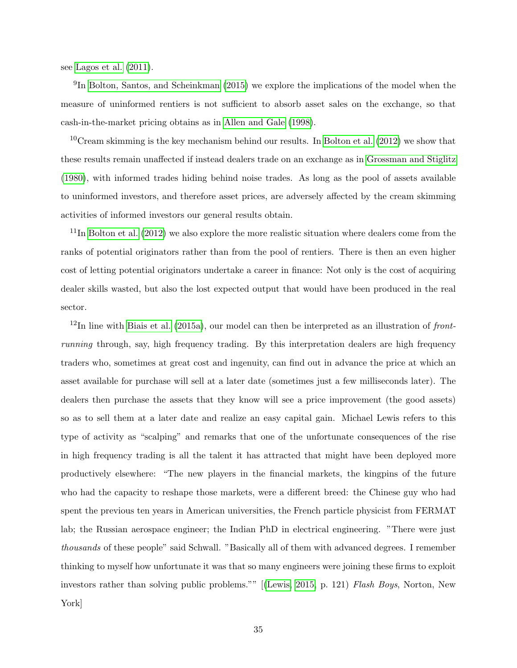see [Lagos et al.](#page-26-9) [\(2011\)](#page-26-9).

<sup>9</sup>In [Bolton, Santos, and Scheinkman](#page-25-11) [\(2015\)](#page-25-11) we explore the implications of the model when the measure of uninformed rentiers is not sufficient to absorb asset sales on the exchange, so that cash-in-the-market pricing obtains as in [Allen and Gale](#page-25-12) [\(1998\)](#page-25-12).

 $10$ Cream skimming is the key mechanism behind our results. In [Bolton et al.](#page-25-0) [\(2012\)](#page-25-0) we show that these results remain unaffected if instead dealers trade on an exchange as in [Grossman and Stiglitz](#page-26-1) [\(1980\)](#page-26-1), with informed trades hiding behind noise trades. As long as the pool of assets available to uninformed investors, and therefore asset prices, are adversely affected by the cream skimming activities of informed investors our general results obtain.

 $11$ In [Bolton et al.](#page-25-0) [\(2012\)](#page-25-0) we also explore the more realistic situation where dealers come from the ranks of potential originators rather than from the pool of rentiers. There is then an even higher cost of letting potential originators undertake a career in finance: Not only is the cost of acquiring dealer skills wasted, but also the lost expected output that would have been produced in the real sector.

<sup>12</sup>In line with [Biais et al.](#page-25-4) [\(2015a\)](#page-25-4), our model can then be interpreted as an illustration of *front*running through, say, high frequency trading. By this interpretation dealers are high frequency traders who, sometimes at great cost and ingenuity, can find out in advance the price at which an asset available for purchase will sell at a later date (sometimes just a few milliseconds later). The dealers then purchase the assets that they know will see a price improvement (the good assets) so as to sell them at a later date and realize an easy capital gain. Michael Lewis refers to this type of activity as "scalping" and remarks that one of the unfortunate consequences of the rise in high frequency trading is all the talent it has attracted that might have been deployed more productively elsewhere: "The new players in the financial markets, the kingpins of the future who had the capacity to reshape those markets, were a different breed: the Chinese guy who had spent the previous ten years in American universities, the French particle physicist from FERMAT lab; the Russian aerospace engineer; the Indian PhD in electrical engineering. "There were just thousands of these people" said Schwall. "Basically all of them with advanced degrees. I remember thinking to myself how unfortunate it was that so many engineers were joining these firms to exploit investors rather than solving public problems."" [[\(Lewis, 2015,](#page-27-10) p. 121) Flash Boys, Norton, New York]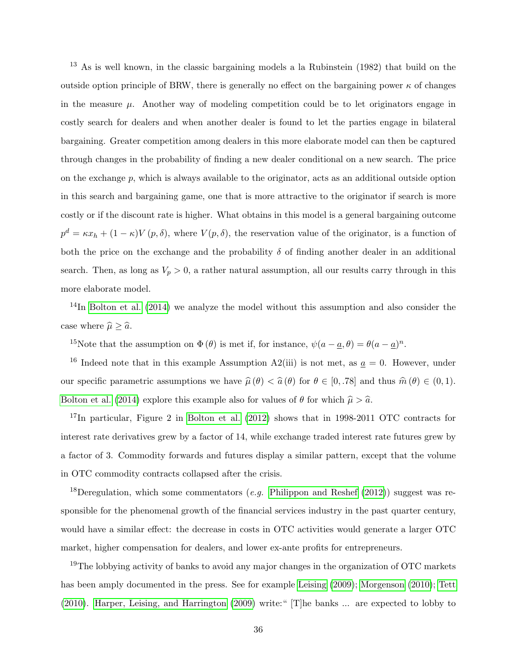<sup>13</sup> As is well known, in the classic bargaining models a la Rubinstein (1982) that build on the outside option principle of BRW, there is generally no effect on the bargaining power  $\kappa$  of changes in the measure  $\mu$ . Another way of modeling competition could be to let originators engage in costly search for dealers and when another dealer is found to let the parties engage in bilateral bargaining. Greater competition among dealers in this more elaborate model can then be captured through changes in the probability of finding a new dealer conditional on a new search. The price on the exchange  $p$ , which is always available to the originator, acts as an additional outside option in this search and bargaining game, one that is more attractive to the originator if search is more costly or if the discount rate is higher. What obtains in this model is a general bargaining outcome  $p^d = \kappa x_h + (1 - \kappa)V(p, \delta)$ , where  $V(p, \delta)$ , the reservation value of the originator, is a function of both the price on the exchange and the probability  $\delta$  of finding another dealer in an additional search. Then, as long as  $V_p > 0$ , a rather natural assumption, all our results carry through in this more elaborate model.

<sup>14</sup>In [Bolton et al.](#page-25-6) [\(2014\)](#page-25-6) we analyze the model without this assumption and also consider the case where  $\hat{\mu} \geq \hat{a}$ .

<sup>15</sup>Note that the assumption on  $\Phi(\theta)$  is met if, for instance,  $\psi(a-\underline{a},\theta) = \theta(a-\underline{a})^n$ .

<sup>16</sup> Indeed note that in this example Assumption A2(iii) is not met, as  $\underline{a} = 0$ . However, under our specific parametric assumptions we have  $\hat{\mu}(\theta) < \hat{a}(\theta)$  for  $\theta \in [0, .78]$  and thus  $\hat{m}(\theta) \in (0, 1)$ . [Bolton et al.](#page-25-6) [\(2014\)](#page-25-6) explore this example also for values of  $\theta$  for which  $\hat{\mu} > \hat{a}$ .

 $^{17}$ In particular, Figure 2 in [Bolton et al.](#page-25-0) [\(2012\)](#page-25-0) shows that in 1998-2011 OTC contracts for interest rate derivatives grew by a factor of 14, while exchange traded interest rate futures grew by a factor of 3. Commodity forwards and futures display a similar pattern, except that the volume in OTC commodity contracts collapsed after the crisis.

<sup>18</sup>Deregulation, which some commentators (e.g. [Philippon and Reshef](#page-27-0) [\(2012\)](#page-27-0)) suggest was responsible for the phenomenal growth of the financial services industry in the past quarter century, would have a similar effect: the decrease in costs in OTC activities would generate a larger OTC market, higher compensation for dealers, and lower ex-ante profits for entrepreneurs.

 $19$ The lobbying activity of banks to avoid any major changes in the organization of OTC markets has been amply documented in the press. See for example [Leising](#page-26-10) [\(2009\)](#page-26-10); [Morgenson](#page-27-11) [\(2010\)](#page-27-11); [Tett](#page-28-4) [\(2010\)](#page-28-4). [Harper, Leising, and Harrington](#page-26-11) [\(2009\)](#page-26-11) write:" [T]he banks ... are expected to lobby to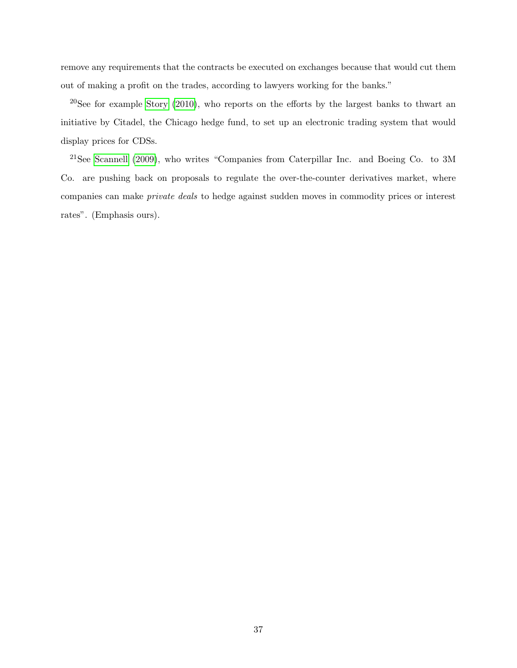remove any requirements that the contracts be executed on exchanges because that would cut them out of making a profit on the trades, according to lawyers working for the banks."

<sup>20</sup>See for example [Story](#page-28-5) [\(2010\)](#page-28-5), who reports on the efforts by the largest banks to thwart an initiative by Citadel, the Chicago hedge fund, to set up an electronic trading system that would display prices for CDSs.

<sup>21</sup>See [Scannell](#page-27-12) [\(2009\)](#page-27-12), who writes "Companies from Caterpillar Inc. and Boeing Co. to  $3M$ Co. are pushing back on proposals to regulate the over-the-counter derivatives market, where companies can make private deals to hedge against sudden moves in commodity prices or interest rates". (Emphasis ours).